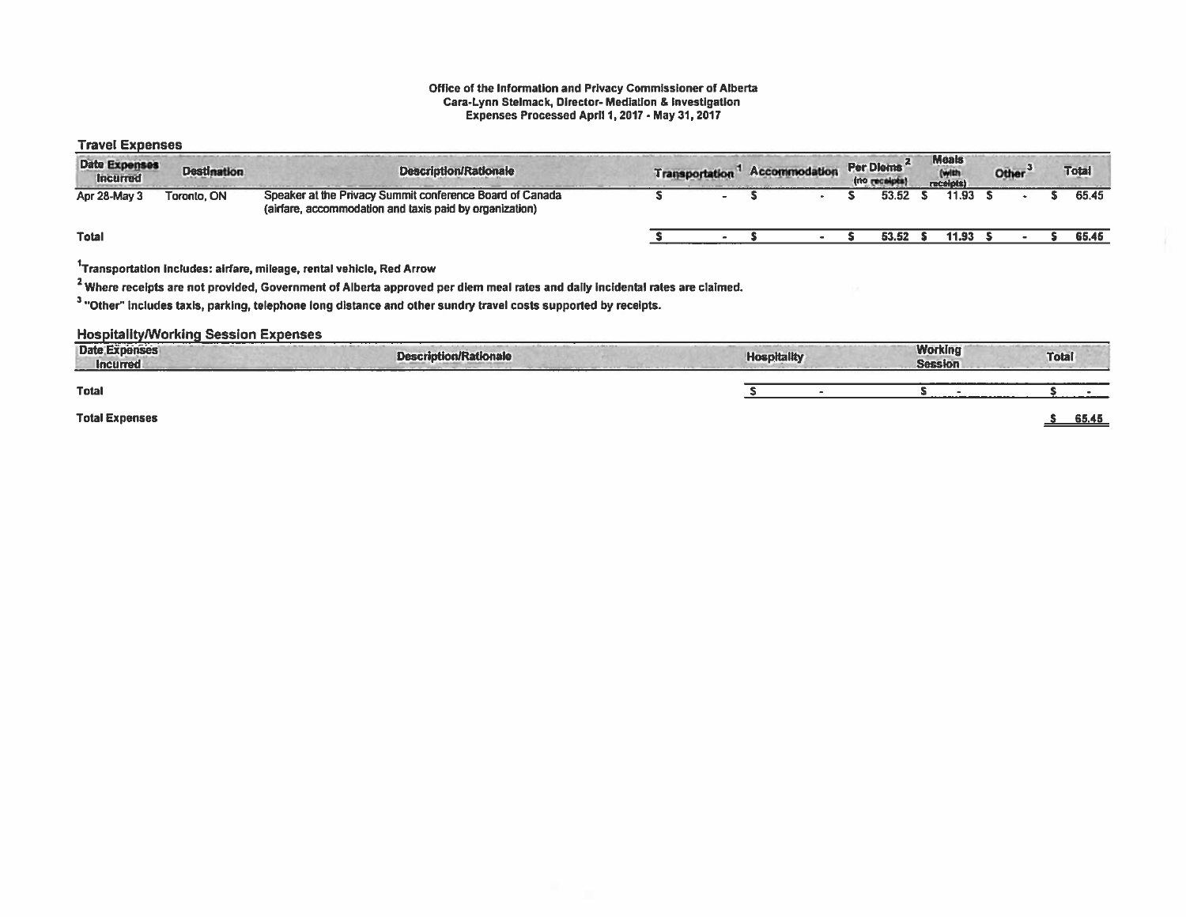#### Office at the Information and Privacy Commissioner of Alberta Cara-Lynn Stelmack, Director- Mediation & Investigation Expanses Processed April I, 2017- May 31, 2017

## Travel Expenses

| <b>Date Expenses</b><br><b>Destination</b><br><b>Incurred</b> |             | <b>Description/Rationale</b>                                                                                        | <b>Accommodation</b><br><b>Transportation</b> |  |  | Per Diems <sup>"</sup><br>(no receipts) | Meats<br>(with<br>receipts) |       | Other <sup>3</sup> |  | <b>Total</b> |  |
|---------------------------------------------------------------|-------------|---------------------------------------------------------------------------------------------------------------------|-----------------------------------------------|--|--|-----------------------------------------|-----------------------------|-------|--------------------|--|--------------|--|
| Apr 28-May 3                                                  | Toronto, ON | Speaker at the Privacy Summit conference Board of Canada<br>(airfare, accommodation and taxis paid by organization) |                                               |  |  | 53.52                                   |                             | 11.93 |                    |  | 65.45        |  |
| <b>Total</b>                                                  |             |                                                                                                                     |                                               |  |  | 53.52                                   |                             | 11.93 |                    |  | 65.45        |  |
|                                                               |             |                                                                                                                     |                                               |  |  |                                         |                             |       |                    |  |              |  |

1Transportation Includes: airfare, mileage, rental vehicle, Red Arrow

<sup>2</sup> Where receipts are not provided, Government of Alberta approved per diem meal rates and daily incidental rates are claimed.

<sup>3</sup> "Other" includes taxis, parking, telephone long distance and other sundry travel costs supported by receipts.

#### Hospitality/Working Session Expenses

| <b>Date Expenses</b><br><b>Incurred</b> | completed and provided and pro-<br><b>Description/Rationale</b> | <b>Hospitality</b> | <b>Working</b><br><b>Session</b> | <b>Total</b> |
|-----------------------------------------|-----------------------------------------------------------------|--------------------|----------------------------------|--------------|
| <b>Total</b>                            |                                                                 |                    |                                  |              |
| <b>Total Expenses</b>                   |                                                                 |                    |                                  | 65.45        |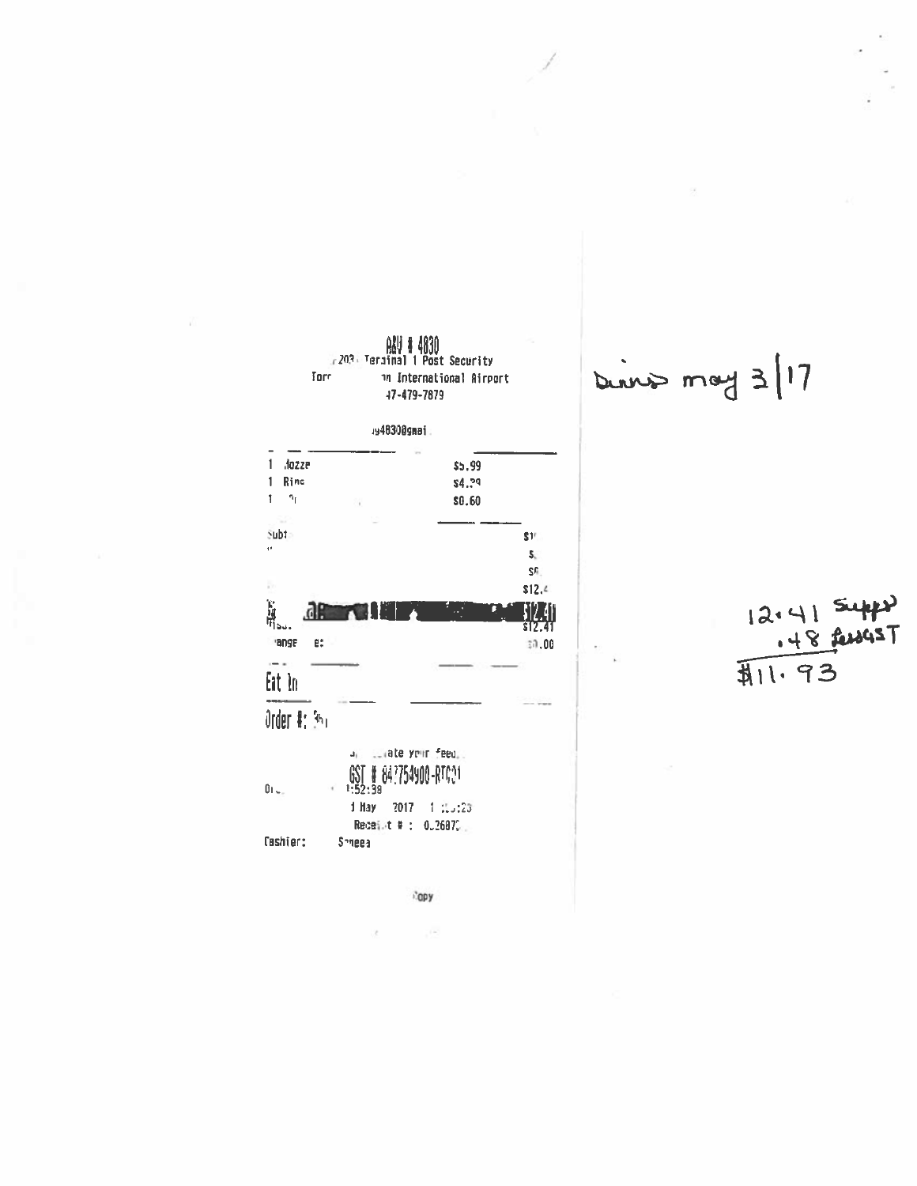

Dinner may 3/17

 $12.41$  supply<br>12.41 supply

**Ropy** 

 $\mathcal{C}(\mathcal{A})$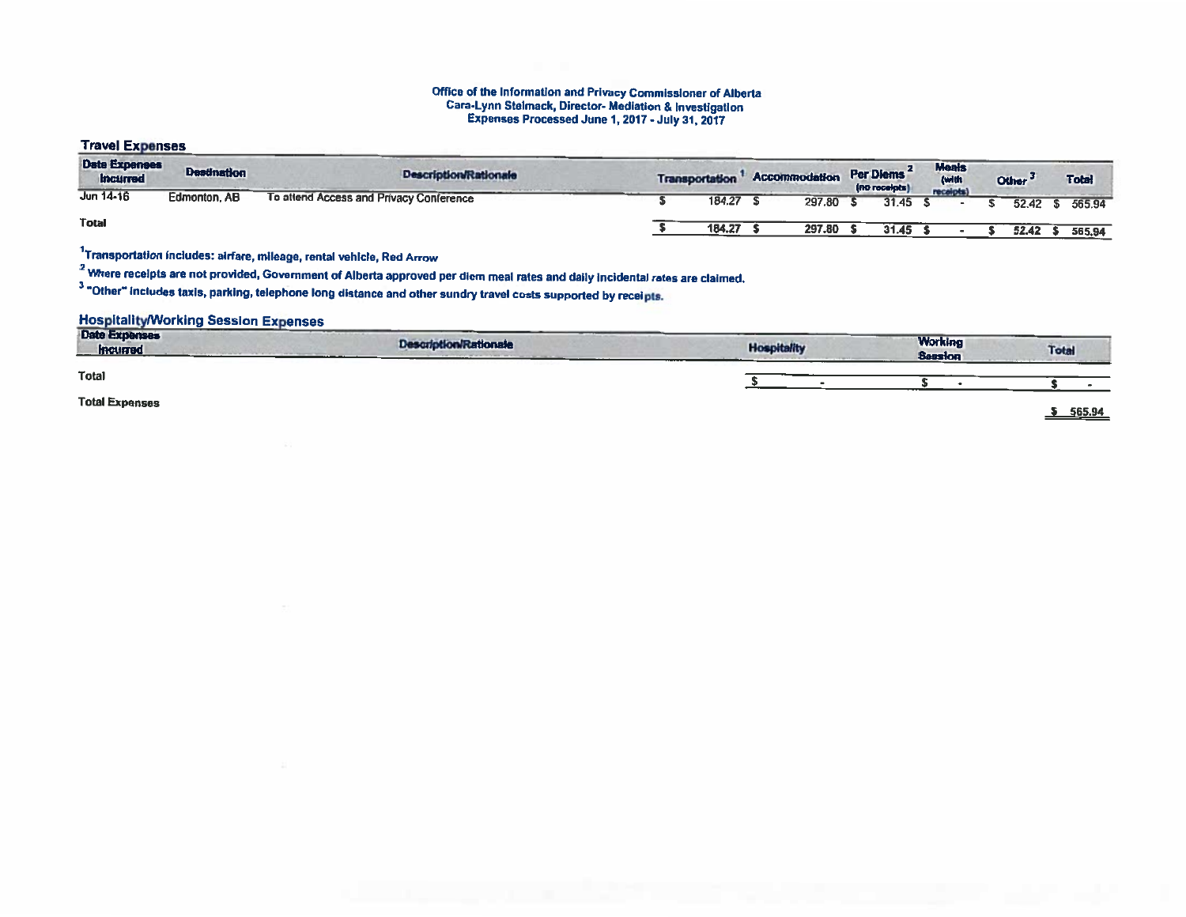#### Office of the Information and Privacy Commissioner of Albert Cara-Lynn Stelmack, Director- Mediation & Investigation Expenses Processed June 1, 2017-July 31,2017

## Travel Expenses

| <b>Date Expenses</b><br><b>Incurred</b> | <b>Destination</b> | <b>Description/Rationale</b>            | <b>Transportation</b> | Accommodation | Per Diems<br>(no receipts) | <b>Meals</b><br>(with<br>receipts) |  | Other <sup>3</sup> | <b>Total</b> |
|-----------------------------------------|--------------------|-----------------------------------------|-----------------------|---------------|----------------------------|------------------------------------|--|--------------------|--------------|
| Jun 14-16                               | Edmonton, AB       | To attend Access and Privacy Conference | 184.27                | 297.80        | 31.45                      |                                    |  | 52.42              | 565.94       |
| Total                                   |                    |                                         | 184.27                | 297.80        | 31.45                      |                                    |  | 52.42              | 565.94       |

1Transportation Includes: airfare, mileage, rental vehicle, Red Arrow

<sup>2</sup> Where receipts are not provided, Government of Alberta approved per diem meal rates and daily incidental rates are claimed.

<sup>3</sup> "Other" includes taxis, parking, telephone long distance and other sundry travel costs supported by receipts.

## Hospitality/Working Session Expenses

| Date Expenses<br><b>Incurred</b> | <b>Description/Rationale</b> | <b>Hospitality</b><br><b>CONTRACTOR</b> CONTRACTOR | <b>Working</b><br><b>Session</b> | <b>Total</b> |
|----------------------------------|------------------------------|----------------------------------------------------|----------------------------------|--------------|
| Total                            |                              |                                                    |                                  |              |
| <b>Total Expenses</b>            |                              |                                                    |                                  | 565.94       |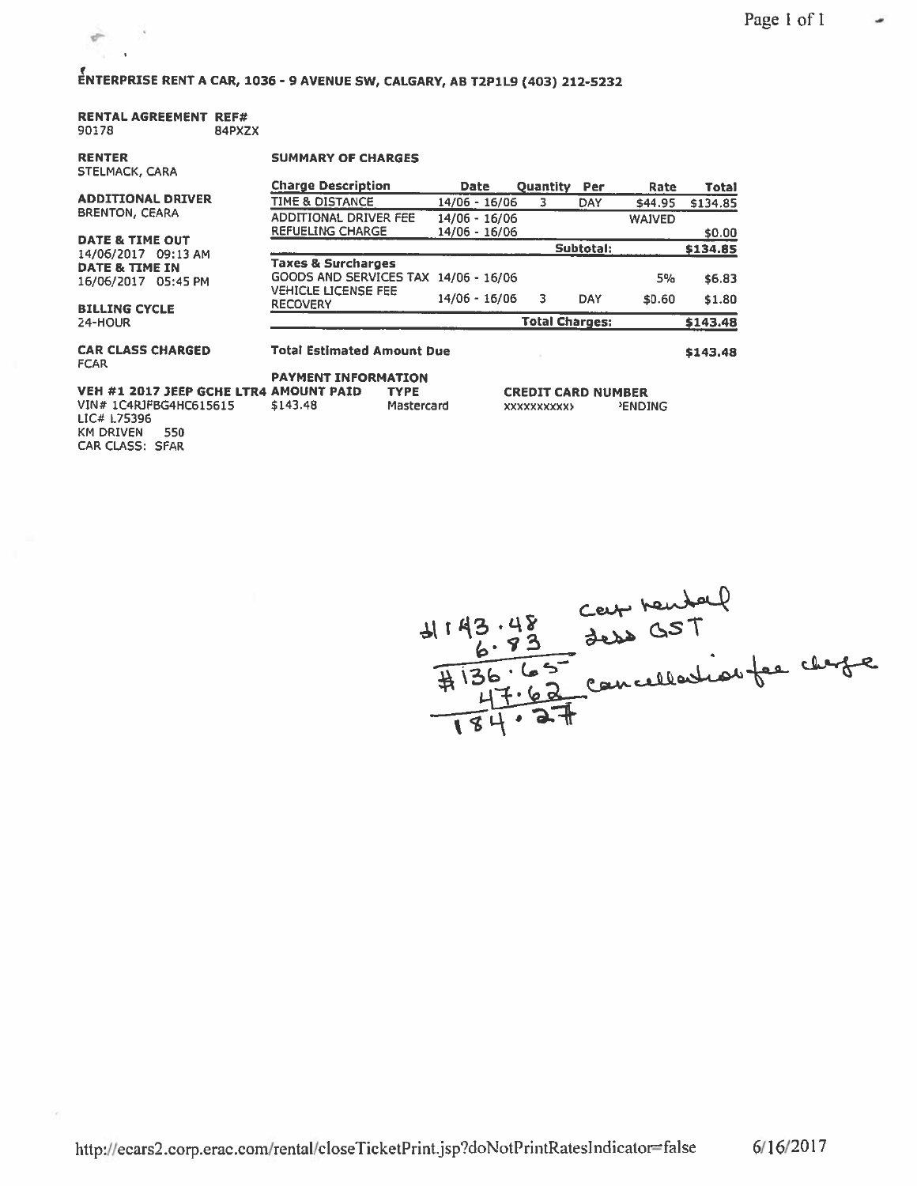# ENTERPRISE RENT <sup>A</sup> CAR, 1036- <sup>9</sup> AVENUE SW, CALGARY, AB T2P1L9 (403) 212-5232

## RENTAL AGREEMENT REF# 90178 84PXZX

RENTER

 $\epsilon$ 

 $\frac{1}{\sqrt{2}}$  $\mathbf{r}$ 

#### SUMMARY OF CHARGES

| <b>STELMACK, CARA</b>                   |                                                                       |                 |                            |            |               |              |
|-----------------------------------------|-----------------------------------------------------------------------|-----------------|----------------------------|------------|---------------|--------------|
|                                         | <b>Charge Description</b>                                             | <b>Date</b>     | <b>Quantity</b>            | Per        | Rate          | <b>Total</b> |
| <b>ADDITIONAL DRIVER</b>                | <b>TIME &amp; DISTANCE</b>                                            | 14/06 - 16/06   | 3                          | DAY        | \$44.95       | \$134.85     |
| <b>BRENTON, CEARA</b>                   | ADDITIONAL DRIVER FEE                                                 | 14/06 - 16/06   |                            |            | <b>WAIVED</b> |              |
| <b>DATE &amp; TIME OUT</b>              | <b>REFUELING CHARGE</b>                                               | 14/06 - 16/06   |                            |            |               | \$0.00       |
| 14/06/2017 09:13 AM                     |                                                                       |                 |                            | Subtotal:  |               | \$134.85     |
| DATE & TIME IN<br>16/06/2017 05:45 PM   | <b>Taxes &amp; Surcharges</b><br>GOODS AND SERVICES TAX 14/06 - 16/06 |                 |                            |            | 5%            | \$6.83       |
| <b>BILLING CYCLE</b>                    | <b>VEHICLE LICENSE FEE</b><br><b>RECOVERY</b>                         | $14/06 - 16/06$ | 3                          | <b>DAY</b> | \$0.60        | \$1.80       |
| 24-HOUR                                 |                                                                       |                 | <b>Total Charges:</b>      |            |               | \$143.48     |
| <b>CAR CLASS CHARGED</b><br><b>FCAR</b> | <b>Total Estimated Amount Due</b>                                     |                 |                            |            |               | \$143,48     |
| VEH #1 2017 JEEP GCHE LTR4 AMOUNT PAID  | <b>PAYMENT INFORMATION</b><br><b>TYPE</b>                             |                 | <b>CREDIT CARD NIIMRFR</b> |            |               |              |

VIN# 1C4R)F8G4HC515515 LIC# L75396 KM DRIVEN 550 CAR CLASS: SFAR \$143.48 Mastercard

| 4143.48 | Ceef tender<br>Jess GST        |  |
|---------|--------------------------------|--|
|         | #136.65 concellation fer chape |  |

xxxxxxxxxx> 'ENDING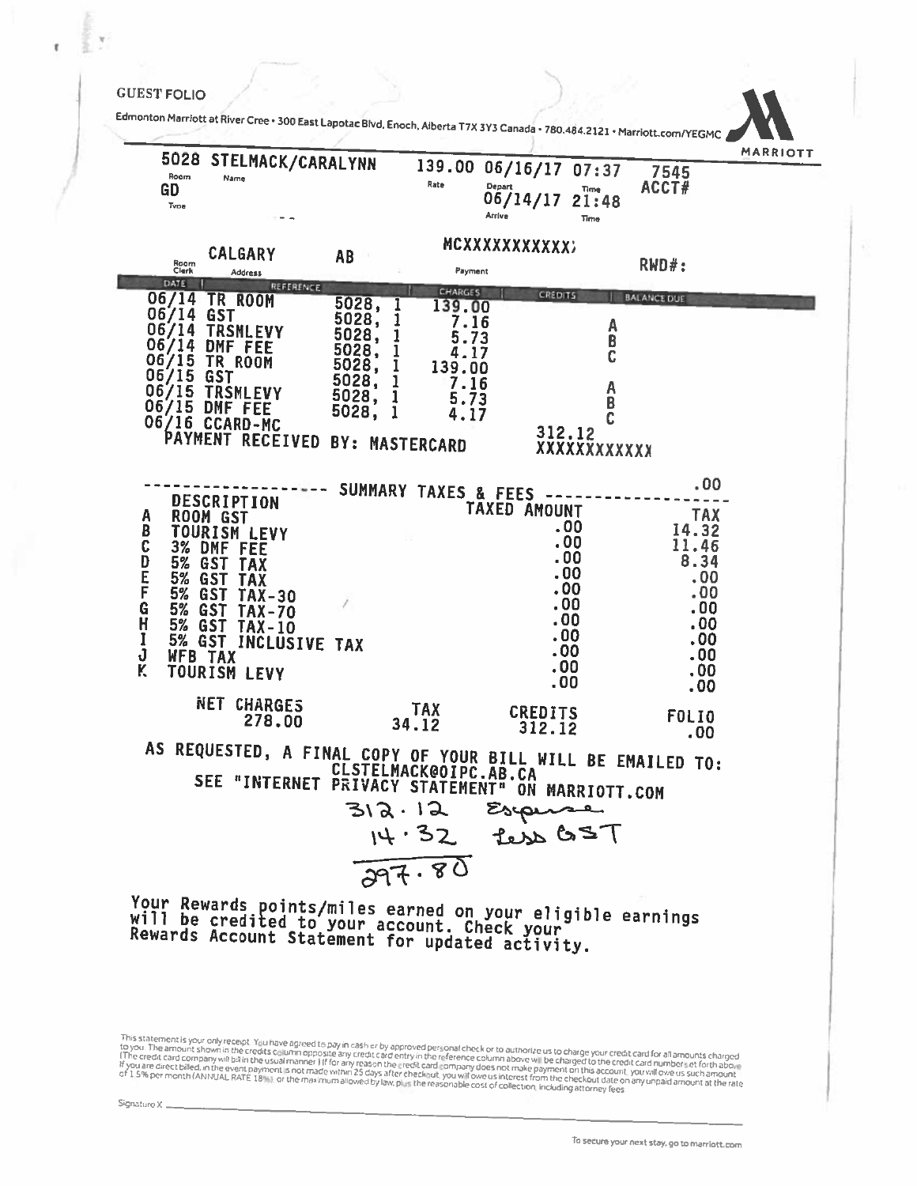### **GUEST FOLIO**

Edmonton Marñott at River Cree <sup>300</sup> East Lapotac Blvd, Enoch, Alberta T7X 3Y3 Canada• 780.484.2121 - Marriott.comIYEGMC 5028 STELMACK/CARALYNN 139.00 06/16/17 07:37 7545 139.00 06/16/17 07:37 Room Name GD Rate  $06/14/17$   $21:48$   $RCT#$ Arrive Time MCXXXXXXXXXXX CALGARY AB RWD#: Room Clerk Ad diess Payment DATE <sup>I</sup> REFERENCE CHARCES 06/14 TR ROOM CREOiT5 BALANCE DUE 5028, <sup>1</sup> 139.00 06/14 06/14 TRSMLEVY GST 5028, <sup>1</sup> 7.16 <sup>A</sup> 06/14 DMF 5028, <sup>1</sup> 5.73 <sup>B</sup> 06/15 FEE 5028, <sup>1</sup> 4.17 <sup>C</sup> TR ROOM 5028, <sup>1</sup> 139.00 06/15 OST 5028, <sup>1</sup> 7.16 <sup>A</sup> 06/15 TRSMLEVY  $\begin{array}{cccc} 5028, & 1 & 5.73 & 8 \\ 5028, & 1 & 4.17 & C \end{array}$ 06/15 DMF 5028, <sup>1</sup> 5.73 <sup>B</sup> 06/16 CCARD-MC PAYMENT RECEIVED BY: MASTERCARD 312.12 .00 SUMMARY TAXES & FEES DESCRIPTION - - - - TAXED AMOUNT <sup>A</sup> ROOM GST TAX B TOURISM LEVY<br>
C 3% DMF FEE<br>
D 5% GST TAX<br>
E 5% GST TAX<br>
F 5% GST TAX<br>
G 5% GST TAX-30<br>
G 5% GST TAX-70<br>
C 30<br>
C 30<br>
C 30<br>
C 30<br>
C 30<br>
C 30<br>
C 30<br>
C 31.46<br>
C 31.46<br>
C 31.46<br>
C 31.46<br>
C 31.46<br>
C 31.46<br>
C 31.46<br>
C 3.34<br>
C 3 11.46 3% DMF FEE . 200 11.46<br>5% GST TAX . 200 8.34  $5\%$   $65$   $\overline{)1}$   $\overline{)3}$   $\overline{)4}$   $\overline{)5}$   $\overline{)6}$   $\overline{)5}$   $\overline{)5}$   $\overline{)5}$   $\overline{)5}$   $\overline{)5}$   $\overline{)5}$   $\overline{)5}$   $\overline{)5}$   $\overline{)5}$   $\overline{)5}$   $\overline{)5}$   $\overline{)5}$   $\overline{)5}$   $\overline{)5}$   $\overline{)5}$   $\overline{)5}$  E 5% GST TAX .00<br>
E 5% GST TAX-30 .00<br>
E 6ST TAX-30 F 5% GST TAX-30 .00 .00 .00<br>G 5% GST TAX-70 .00 .00 .00<br>H 5% GST TAX-10 .00 .00 .00 .00 H 5% GST TAX-10<br>
I 5% GST INCLUSIVE TAX .00 .00<br>
J WFB TAX .00 .00<br>
MFB TAX .00 .00 .00 <sup>K</sup> TOURISM LEVY .00 .00 .00 .00 NET CHARGES 278.00 TAX CREDITS FOLIO 34.12 312.12 .00 AS REQUESTED, <sup>A</sup> FINAL COPY OF YOUR BILL WILL BE EMAILED TO: CLSTELMACK@OIPC.AB.CA SEE "INTERNET PRIVACY STATEMENT" ON MARRIOTT.COM  $312.12$ Esperse Less GST  $14.32$  $797.80$ Your Rewards points/miles earned on your eligible earnings<br>will be credited to your account. Check your<br>Rewards Account Statement for updated activity. will

This statement is your only recept. You have agreed to pay in cash or by approved personal check or to authorize us to charge your credit card for all amounts charged to the amounts of any credit card for all or your credi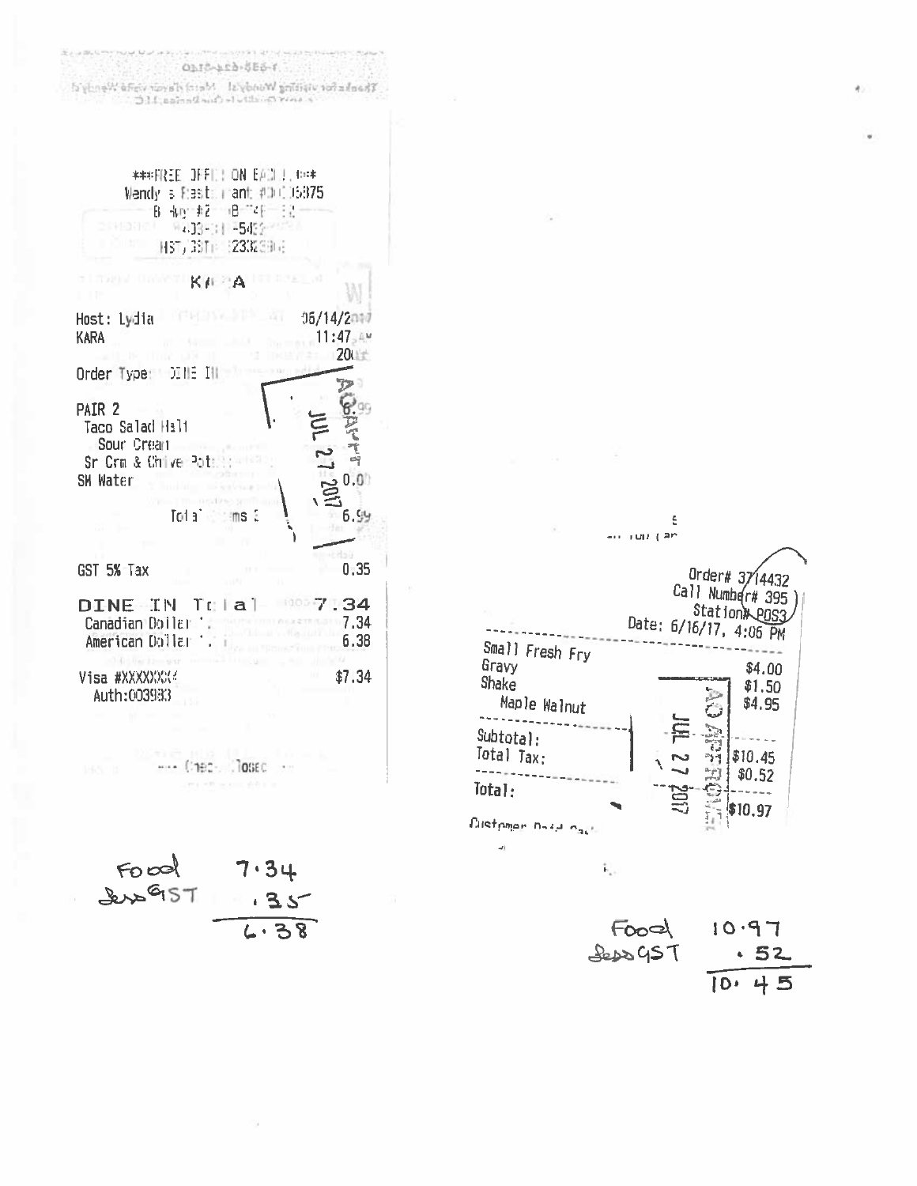$\label{thm:main} The number of words of the boundary.$  Then<br>there even condition of the best and  $M\subset \mathbb{C}$ | \*\*\*FREE JFF11: ON EACL1. #=\* Wendy is Fresh mant:  $\#100.05375$ B 40 #2 B "4F 12-201000 9413901135422-000 HST/39TI (2332904) **TITTEN HOWSTING ALL**  $105/14/2017$ Host: Lydia KARA 11:47,4%  $200 +$ Order Type: DINE IN PAIR 2 Taco Salad Halt てんたい Sour Crean Sr Crm & Chive Potent 1020.0 SM Water Total ims 3  $6.99$  $0:35$ GST 5% Tax  $7.34$ DINE IN TOTAT Canadian Boiler 1. 7.34 American Dollar 1. i 6.38 Visa #XXXXXXXX  $$7.34$ Auth:003983  $.... (190 - 1000 - 1)$ 

0112-123-586-1.

Food<br>Sens957  $7.34$ + 3.  $4.38$ 



Food  $10.97$ **Seps GST**  $-52$  $10.45$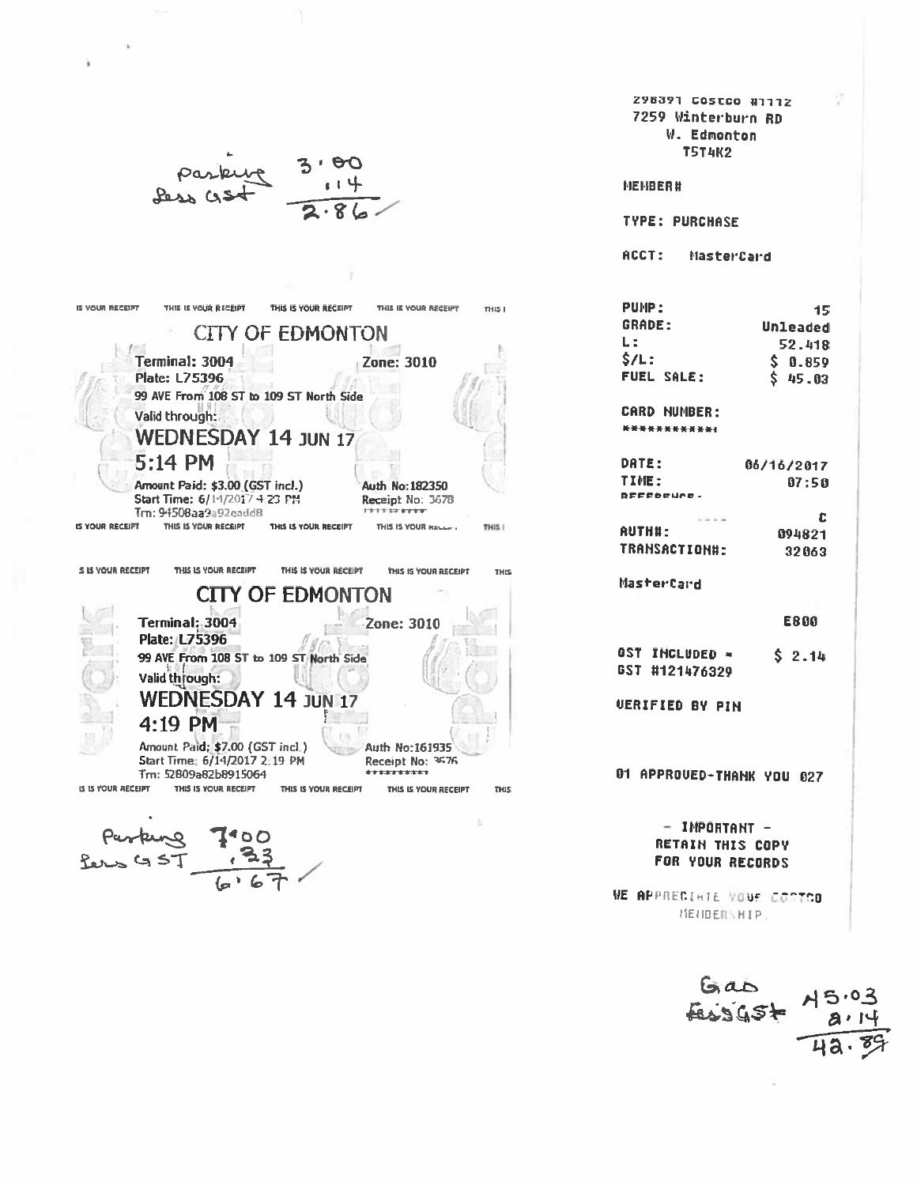298391 COSTCO #1112 7259 Winterburn RD W. Edmonton **T5T4K2** MEMBER# **TYPE: PURCHASE** ACCT: MasterCard IS YOUR RECEIPT THIS IS YOUR RECEIPT THIS IS YOUR RECEIPT THIS IS YOUR RECEIPT PUMP: THIS I 15 **GRADE:** Unleaded **CITY OF EDMONTON**  $L:$ 52.418 Terminal: 3004  $$/L:$  $$0.859$ **Zone: 3010 Plate: L75396 FUEL SALE:**  $$45.03$ 99 AVE From 108 ST to 109 ST North Side CARD NUMBER:  $3.31$ Valid through: \*\*\*\*\*\*\*\*\*\*\*\* **WEDNESDAY 14 JUN 17** 5:14 PM DATE: 06/16/2017 TIME:  $07:50$ Amount Paid: \$3.00 (GST incl.) Auth No: 182350 REFEDENCE. Start Time: 6/14/2017 4:23 PM Receipt No: 3678 Tm: 94508aa9192eadd8 **ENTER DE RESTE** c IS YOUR RECEIPT THIS IS YOUR RECEIPT THIS IS YOUR RECEIPT THIS I THIS IS YOUR RECEIPT **AUTH#:** 894821 TRANSACTION#: 32063 S IS YOUR RECEIPT THIS IS YOUR RECEIPT THIS IS YOUR RECEIPT THIS IS YOUR RECEIPT **THIS** MasterCard **CITY OF EDMONTON** Terminal: 3004 **E800** Zone: 3010 **Plate: L75396** GST INCLUDED = 99 AVE From 108 ST to 109 ST North Side  $$2.14$ GST #121476329 Valid through: €ij **WEDNESDAY 14 JUN 17 VERIFIED BY PIN** 4:19 PM Amount Paid; \$7.00 (GST incl.) Auth No: 161935 Start Time: 6/14/2017 2:19 PM Receipt No: 3676 Tm: 52809a82b8915064 \*\*\*\*\*\*\*\*\*\* 01 APPROUED-THANK YOU 027 THIS IS YOUR RECEIPT IS IS YOUR RECEIPT THIS IS YOUR RECEIPT THIS IS YOUR RECEIPT THIS.  $-$  IMPORTANT  $-$ **RETAIN THIS COPY**  $GST$ FOR YOUR RECORDS

WE APPRECIATE VOUE COSTOO **NENBERSHIPS** 

 $6a5$ <br> $3a5$ <br> $75.03$ <br> $71.8$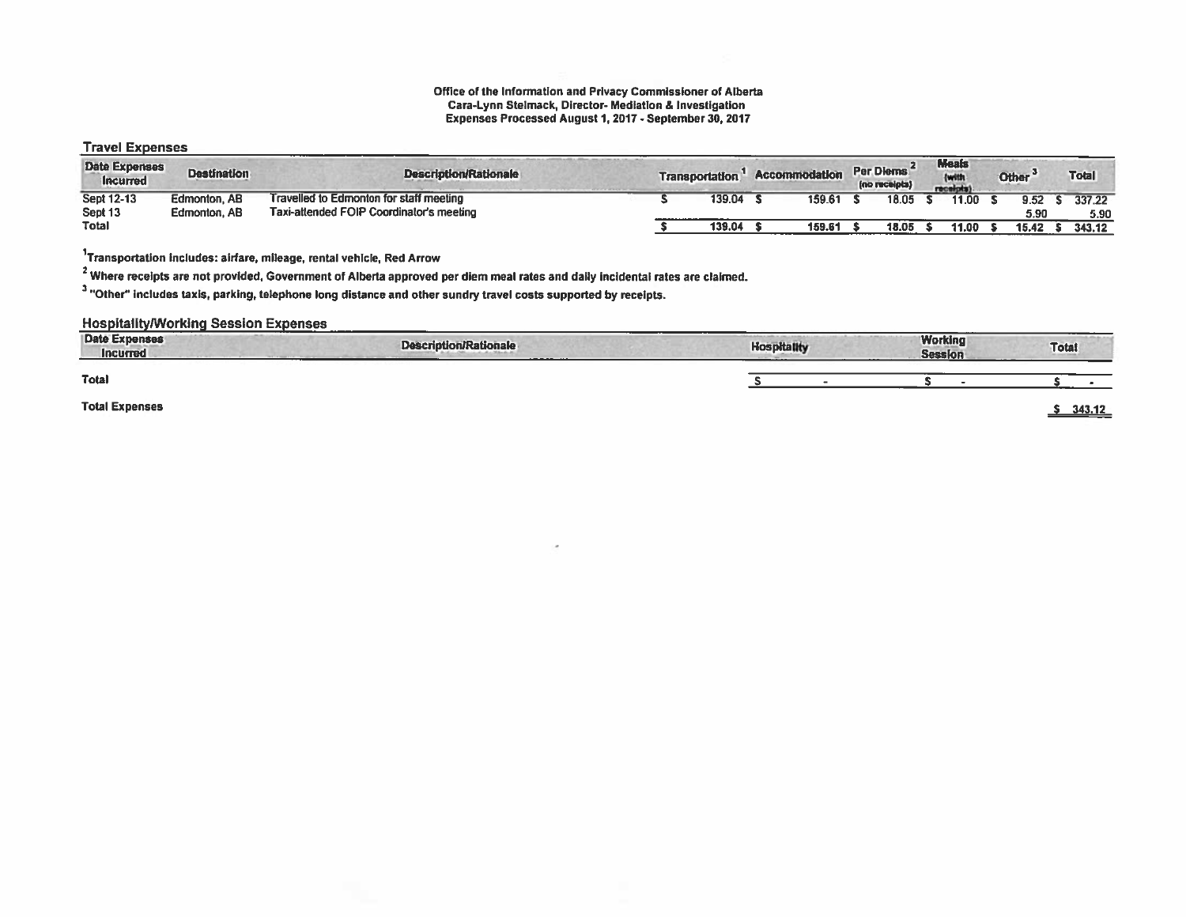#### Office of the Information and Privacy Commissioner of Alberta Cara-Lynn Stelmack, Director- Mediation & Investigation Expenses Processed August 1,2017 -September 30, 2017

## Travel Expenses

| <b>Date Expenses</b><br><b>Incurred</b> | <b>Destination</b> | <b>Description/Rationale</b>             | <b>Transportation</b> | <b>Accommodation</b> | Per Diems<br>(no receipts) | <b>Meals</b><br>(with<br>receipt |       | Other <sup>®</sup> |      | <b>Total</b> |  |
|-----------------------------------------|--------------------|------------------------------------------|-----------------------|----------------------|----------------------------|----------------------------------|-------|--------------------|------|--------------|--|
| <b>Sept 12-13</b>                       | Edmonton, AB       | Travelled to Edmonton for staff meeting  | 139.04                | 159.61               | 18.05                      |                                  | 11.00 |                    | 9.52 | 337.22       |  |
| Sept <sub>13</sub>                      | Edmonton, AB       | Taxi-attended FOIP Coordinator's meeting |                       |                      |                            |                                  |       |                    | 5.90 | 5.90         |  |
| <b>Total</b>                            |                    |                                          | 139.04                | 159.61               | 18.05                      |                                  | 11.00 | 15.42              |      | 343.12       |  |

1Transportation includes: airfare, mileage, rental vehicle, Red Arrow

<sup>2</sup> Where receipts are not provided, Government of Alberta approved per diem meal rates and daily incidental rates are claimed.

<sup>3</sup> "Other" includes taxis, parking, telephone long distance and other sundry travel costs supported by receipts.

**Hospitality/Working Session Expenses** 

| <b>CONTRACTOR</b><br><b>Date Expenses</b><br>Incurred | ________<br><b>Description/Rationale</b><br>---------- | <b>Hospitality</b> | <b>Working</b><br><b>Session</b> | <b>Totat</b> |
|-------------------------------------------------------|--------------------------------------------------------|--------------------|----------------------------------|--------------|
| <b>Total</b>                                          |                                                        |                    |                                  |              |
| <b>Total Expenses</b>                                 |                                                        |                    |                                  | 343.12       |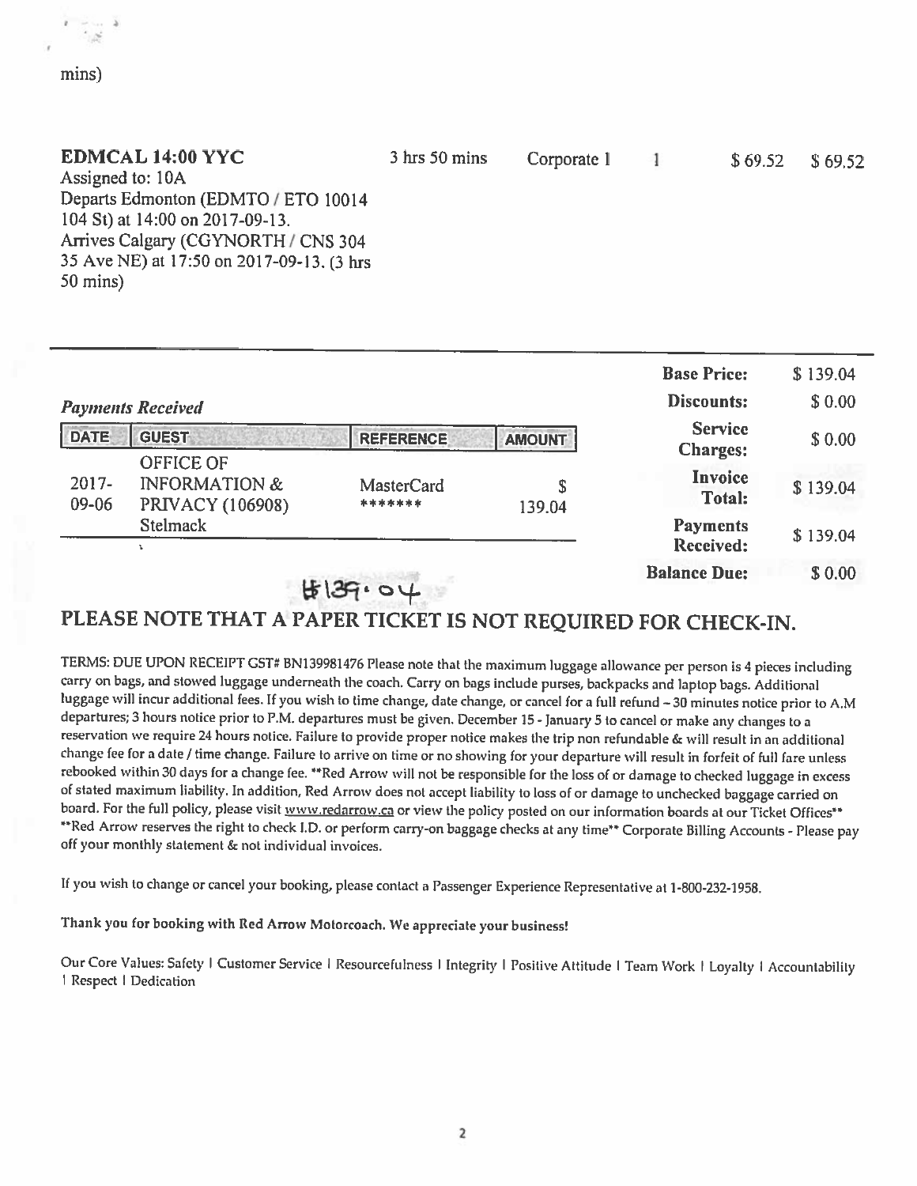## EDMCAL 14:00 YYC

a

mins)

| EDMCAL 14:00 YYC                           | $3 \text{ hrs} 50 \text{ mins}$ | Corporate 1 1 | $$69.52$ $$69.52$ |  |
|--------------------------------------------|---------------------------------|---------------|-------------------|--|
| Assigned to: 10A                           |                                 |               |                   |  |
| Departs Edmonton (EDMTO / ETO 10014        |                                 |               |                   |  |
| 104 St) at 14:00 on 2017-09-13.            |                                 |               |                   |  |
| Arrives Calgary (CGYNORTH / CNS 304        |                                 |               |                   |  |
| 35 Ave NE) at 17:50 on 2017-09-13. (3 hrs. |                                 |               |                   |  |
| $50 \text{ mins}$                          |                                 |               |                   |  |

|                   |                                                                         |                              |               | <b>Base Price:</b>                  | \$139.04 |
|-------------------|-------------------------------------------------------------------------|------------------------------|---------------|-------------------------------------|----------|
|                   | <b>Payments Received</b>                                                |                              |               | Discounts:                          | \$0.00   |
| <b>DATE</b>       | <b>GUEST</b>                                                            | <b>REFERENCE</b>             | <b>AMOUNT</b> | <b>Service</b><br><b>Charges:</b>   | \$0.00   |
| $2017 -$<br>09-06 | <b>OFFICE OF</b><br><b>INFORMATION &amp;</b><br><b>PRIVACY (106908)</b> | <b>MasterCard</b><br>******* | \$<br>139.04  | Invoice<br><b>Total:</b>            | \$139.04 |
|                   | <b>Stelmack</b>                                                         |                              |               | <b>Payments</b><br><b>Received:</b> | \$139.04 |
|                   |                                                                         | H39.                         |               | <b>Balance Due:</b>                 | \$0.00   |

## PLEASE NOTE THAT <sup>A</sup> PAPER TICKET IS NOT REQUIRED FOR CHECK-IN.

TERMS: DUE UPON RECEIPT CST# 8N139981476 Please note that the maximum luggage allowance per person is <sup>4</sup> <sup>p</sup>ieces including carry on bags, and stowed luggage underneath the coach. Carry on bags include purses, backpacks and laptop bags. Additional luggage will incur additional fees. If you wish to time change, date change, or cancel for a full refund - 30 minutes notice prior to A.M departures; <sup>3</sup> hours notice prior to P.M. departures must be <sup>g</sup>iven. December15- January <sup>5</sup> to cancel or make any changes to <sup>a</sup> reservation we require <sup>21</sup> hours notice. Failure to provide proper notice makes the trip non refundable & will result in an additional change fee for a date / time change. Failure to arrive on time or no showing for your departure will result in forfeit of full fare unless rebooked within <sup>30</sup> days for <sup>a</sup> change fee. \*\*Red Arrow will not be responsible for the loss of or damage to checked luggage in excess of stated maximum liability. In addition, Red Arrow does not accept liability to loss of or damage to unchecked baggage carried on board. For the full policy, please visit www.redarrow.ca or view the policy posted on our information boards at our Ticket Offices\*\* \*\*Red Arrow reserves the right to check I.D. or perform carry-on baggage checks at any time\*\* Corporate Billing Accounts - Please pay off your monthly statement & not individual invoices.

If you wish to diange or cancel your hooking, <sup>p</sup>lease contact <sup>a</sup> Passenger Experience Representative at 1-800-232-1958.

Thank you for booking with Red Arrow Motorcoach. We appreciate your business!

Our Core Values: Safety I Customer Service | Resourcefulness | Integrity | Positive Attitude | Team Work | Loyalty | Accountability Respect Dedication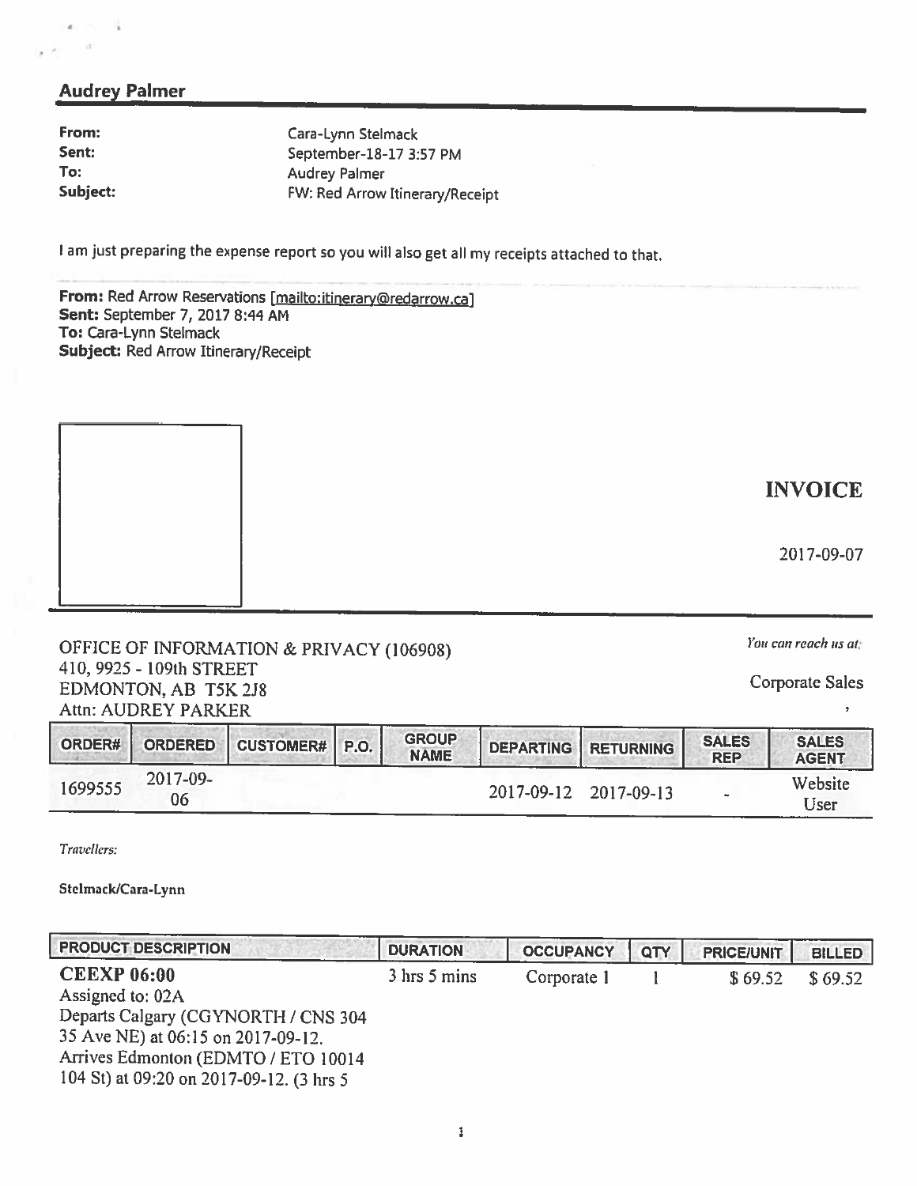## Audrey Palmer

From: Cara-Lynn Stelmack

<sup>I</sup> am just preparing the expense report so you will also get all my receipts attached to that.

From: Red Arrow Reservations [mailto:itinerary@redarrow.ca] Sent: September 7, 2017 8:44 AM To: Cara-Lynn Stelmack Subject: Red Arrow Itinerary/Receipt

OFFICE OF INFORMATION & PRIVACY (106908) *You can reach us at:*<br>410, 9925 - 109th STREET 410, 9925 - 10926 - 10926 - 10926 - 10926 - 10936 - 10936 - 10936 - 10936 - 10936 - 10936 - 10936 - 10936 - 10936 - 10936 - 10936 - 10936 - 10936 - 10936 - 10936 - 10936 - 10936 - 10936 - 10936 - 10936 - 10936 - 10936 - 10 Attn: AUDREY PARKER

| ORDER#  | <b>ORDERED</b> | CUSTOMER# P.O. | <b>GROUP</b><br><b>NAME</b> |                       | <b>I DEPARTING RETURNING "</b> | <b>SALES</b><br><b>REP</b> | <b>SALES</b><br><b>AGENT</b> |
|---------|----------------|----------------|-----------------------------|-----------------------|--------------------------------|----------------------------|------------------------------|
| 1699555 | 2017-09-<br>06 |                |                             | 2017-09-12 2017-09-13 |                                |                            | Website<br>Jser              |

Travellers:

Stelmack/Cara-Lynn

| <b>PRODUCT DESCRIPTION</b>                                                                                                                                                                             | <b>DURATION</b> | <b>OCCUPANCY</b> | QTY | <b>PRICE/UNIT</b> | <b>BILLED</b> |
|--------------------------------------------------------------------------------------------------------------------------------------------------------------------------------------------------------|-----------------|------------------|-----|-------------------|---------------|
| <b>CEEXP 06:00</b><br>Assigned to: 02A<br>Departs Calgary (CGYNORTH / CNS 304<br>35 Ave NE) at 06:15 on 2017-09-12.<br>Arrives Edmonton (EDMTO / ETO 10014<br>104 St) at 09:20 on 2017-09-12. (3 hrs 5 | 3 hrs 5 mins    | Corporate 1      |     | \$69.52           | \$69.52       |

2017-09-07

 $\overline{\phantom{a}}$ 

Sent: September-18-17 3:57 PM To: Audrey Palmer Subject: FW: Red Arrow Itinerary/Receipt

INVOICE

I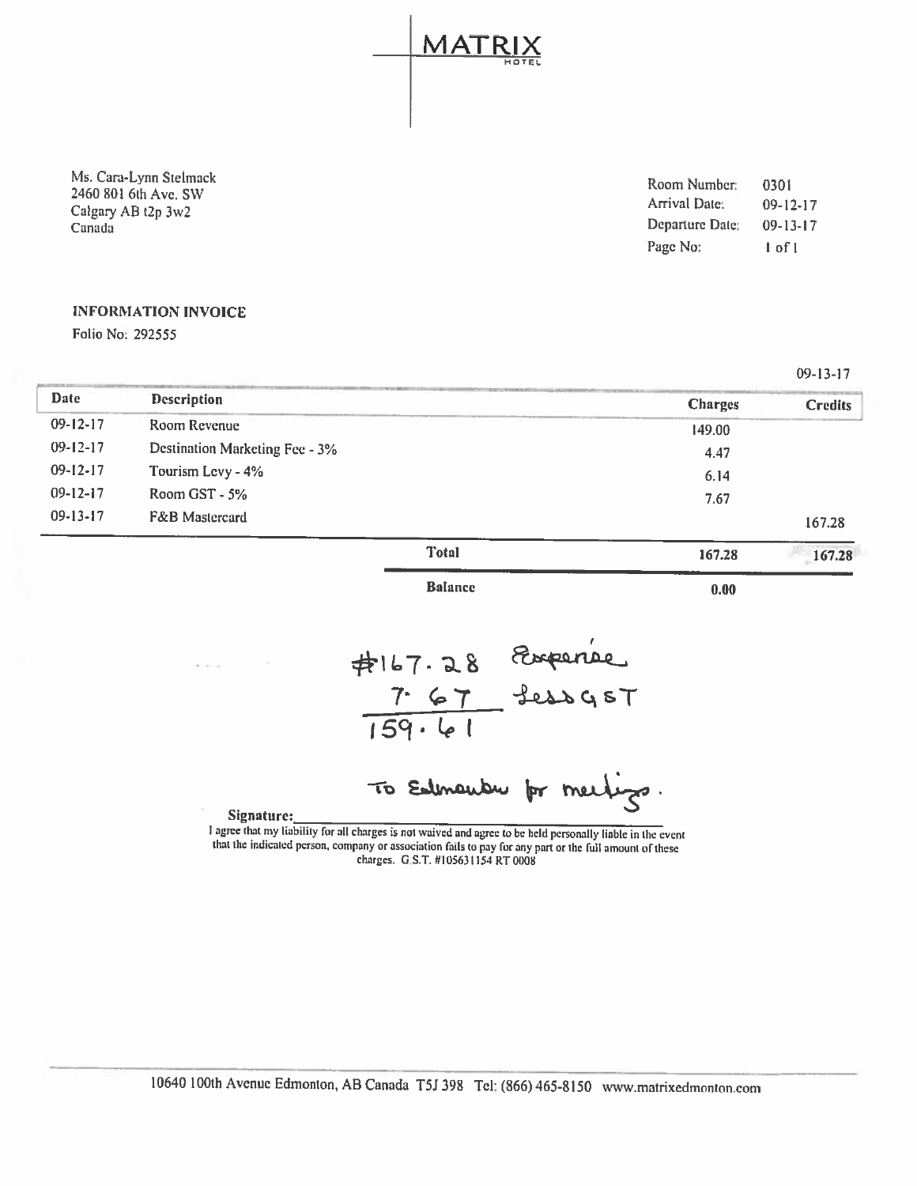LMATRIX rIOT EL

| Ms. Cara-Lynn Stelmack<br>2460 801 6th Ave, SW | Room Number:<br>Arrival Date: | 0301<br>$09 - 12 - 17$ |
|------------------------------------------------|-------------------------------|------------------------|
| Calgary AB t2p 3w2<br>Canada                   | Departure Date:               | $09 - 13 - 17$         |
|                                                | Page No:                      | l of l                 |

09-13-17

## INFORMATION INVOICE

Folio No: 292555

|                |                                |                |                | $U2 - 13 - 11$ |
|----------------|--------------------------------|----------------|----------------|----------------|
| <b>Date</b>    | <b>Description</b>             |                | <b>Charges</b> | <b>Credits</b> |
| $09 - 12 - 17$ | Room Revenue                   |                | 149.00         |                |
| $09 - 12 - 17$ | Destination Marketing Fee - 3% |                | 4.47           |                |
| $09 - 12 - 17$ | Tourism Levy - 4%              |                | 6.14           |                |
| $09-12-17$     | Room GST - 5%                  |                | 7.67           |                |
| $09-13-17$     | F&B Mastercard                 |                |                | 167.28         |
|                |                                | <b>Total</b>   | 167.28         | 167.28         |
|                |                                | <b>Balance</b> | 0.00           |                |

7. '7 ا ما ۱59۱

To Edmander for meetings.

Signature:\_\_\_\_\_\_\_\_\_\_\_\_\_\_\_\_\_\_\_\_\_\_\_\_\_\_\_\_\_\_\_\_\_\_\_\_\_\_\_\_\_\_\_\_\_\_\_\_\_\_\_\_\_\_\_\_\_ that the indicated person, company or association fails to pay for any part or the full amount of these charges. G.S.T. #105631154 RT 0008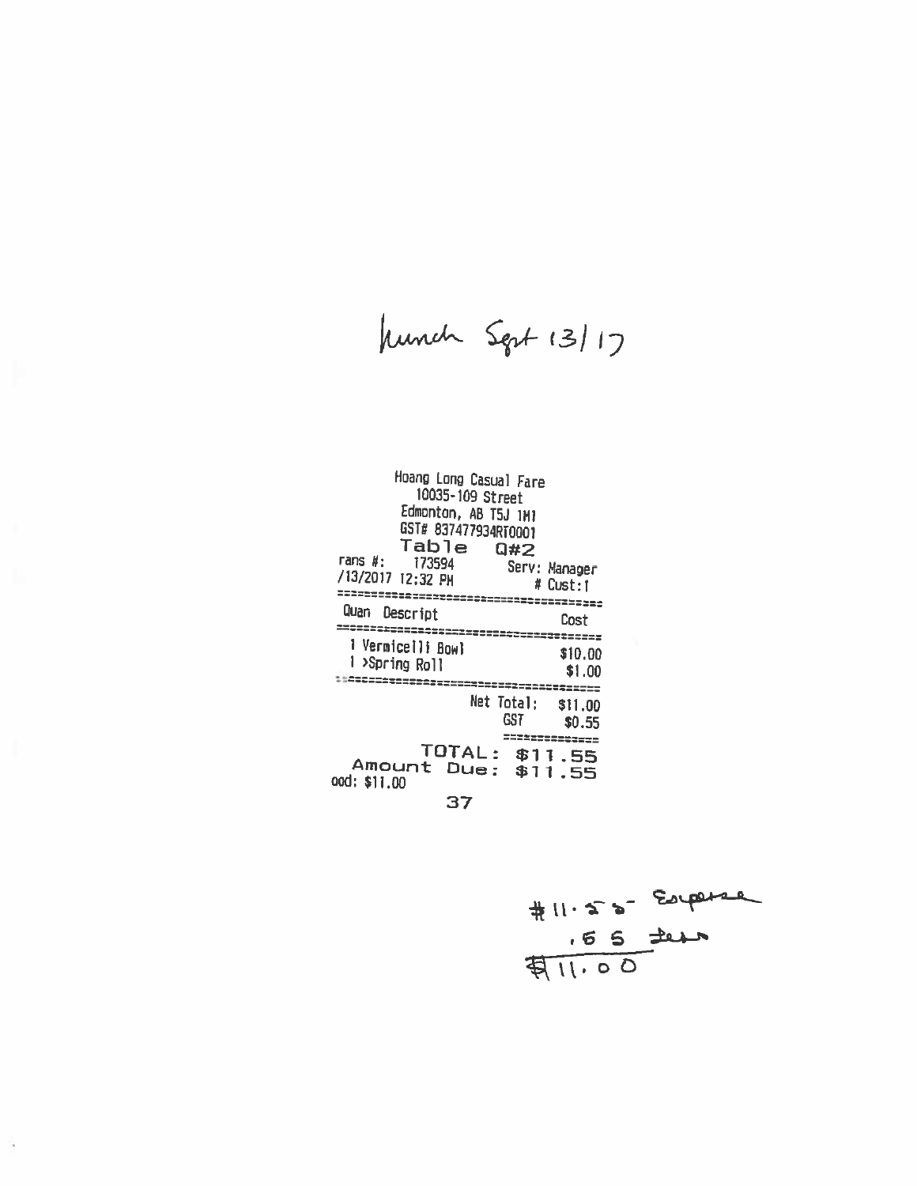hunch Sept 13/17

| Hoang Long Casual Fare<br>10035-109 Street<br>Edmonton, AB T5J 1M1<br>GST# 837477934RT0001<br>Table Q#2<br>rans #: 173594<br>/13/2017 12:32 PM | Serv: Manager<br># Cust:1 |
|------------------------------------------------------------------------------------------------------------------------------------------------|---------------------------|
| Quan<br><b>Descript</b>                                                                                                                        | Cost                      |
| 1 Vermicelli Bowl<br>1 >Spring Roll                                                                                                            | \$10,00<br>\$1.00         |
| Net Total: \$11.00<br>GST                                                                                                                      | ----<br>\$0.55            |
| TOTAL: \$11.55<br>Amount Due: \$1<br>ood: \$11.00                                                                                              | ==========<br>1.55        |

37

 $#11.55$  Experience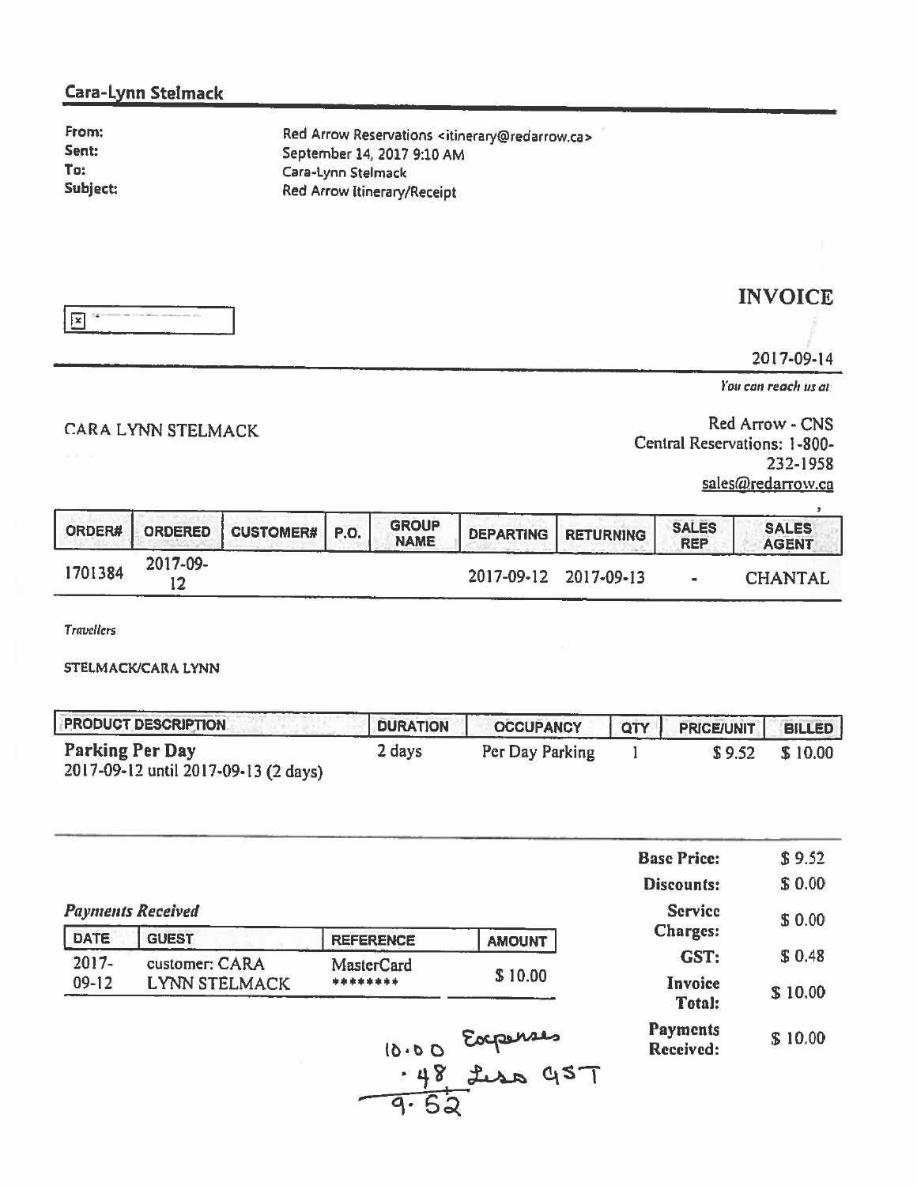## Cara-Lynn Stelmack

From: Sent: Ta: Subject: Red Arrow Reservations <itinerary@redarrow.ca> September 14, 2017 9:10 AM Cara-Lynn Stelmack Red Arrow Itinerary/Receipt



INVOICE

20 17-09-14

 $\ddot{\phantom{a}}$ 

You can reach us at:

CARA LYNN STELMACK **EXAMPLE ARRAIGHT ARRAIGHT AT A CONSTANT A** Red Arrow - CNS Central Reservations: 1-800- 232-1958 sales@redarrow.ca

|         |          | ORDER#   ORDERED   CUSTOMER#   P.O. | <b>GROUP</b><br><b>NAME</b> | <b>DEPARTING   RETURNING</b> | <b>SALES</b><br><b>REP</b> | <b>SALES</b><br><b>AGENT</b> |
|---------|----------|-------------------------------------|-----------------------------|------------------------------|----------------------------|------------------------------|
| 1701384 | 2017-09- |                                     |                             | 2017-09-12 2017-09-13        |                            | <b>CHANTAL</b>               |

Travellers:

STELMACK)CARA LYNN

| <b>PRODUCT DESCRIPTION</b>                              | <b>DURATION</b> | <b>OCCUPANCY</b> | <b>QTY</b> | <b>PRICE/UNIT</b> | <b>BILLED</b> |
|---------------------------------------------------------|-----------------|------------------|------------|-------------------|---------------|
| Parking Per Day<br>2017-09-12 until 2017-09-13 (2 days) | 2 days          | Per Day Parking  |            | \$9.52            | \$10.00       |

|             |                          |                   |               | <b>Base Price:</b>                | \$9.52  |
|-------------|--------------------------|-------------------|---------------|-----------------------------------|---------|
|             |                          |                   |               | <b>Discounts:</b>                 | \$0.00  |
|             | <b>Payments Received</b> |                   |               | <b>Service</b><br><b>Charges:</b> | \$0.00  |
| <b>DATE</b> | <b>GUEST</b>             | <b>REFERENCE</b>  | <b>AMOUNT</b> |                                   |         |
| $2017 -$    | customer: CARA           | <b>MasterCard</b> |               | GST:                              | \$0.48  |
| $09 - 12$   | <b>LYNN STELMACK</b>     | ********          | \$10.00       | Invoice<br>Total:                 | \$10.00 |
|             |                          | 10.00             | Eocpenses     | <b>Payments</b><br>Received:      | \$10.00 |
|             |                          | .48               | aput<br>QST   |                                   |         |

$$
\frac{70}{9.52}
$$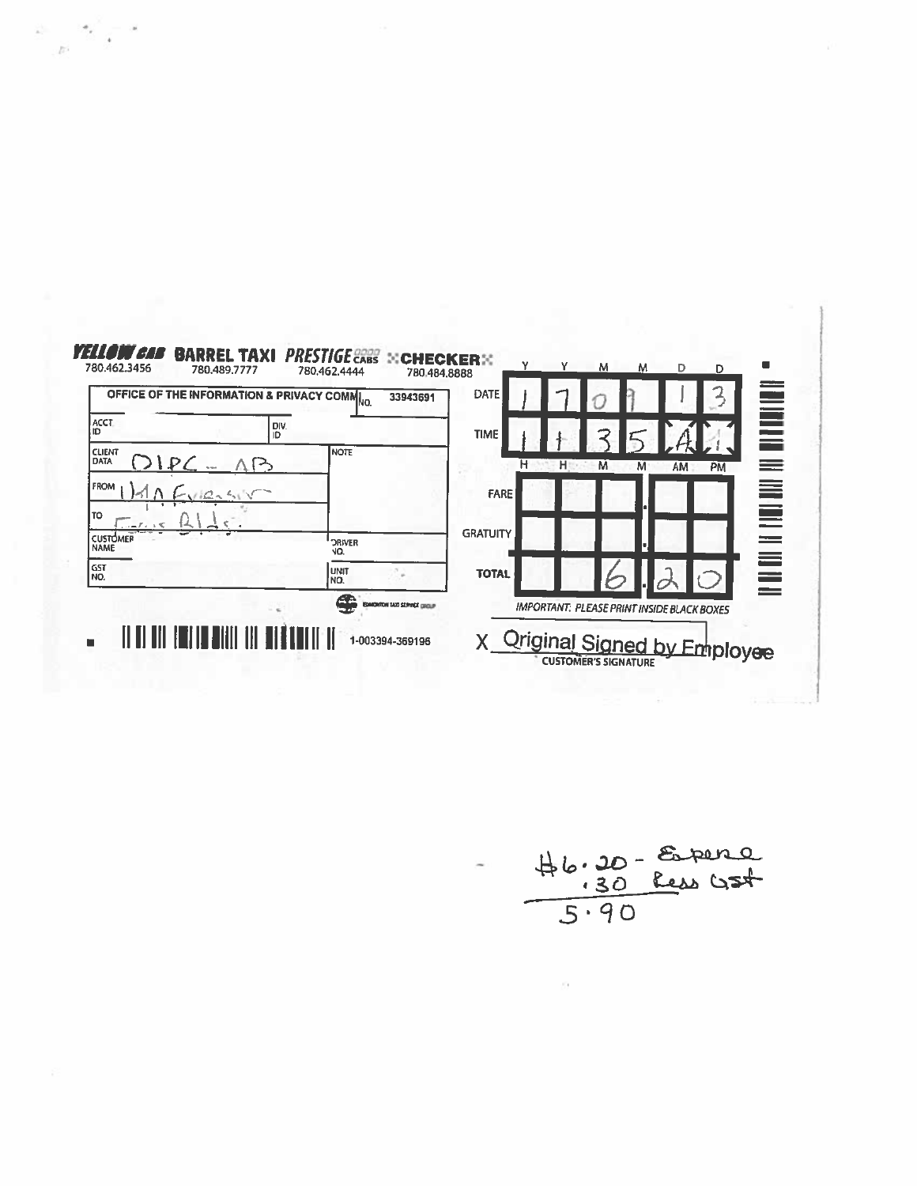

 $\label{eq:2.1} \mu^{\frac{1-\alpha}{2}}\int_0^\infty e^{-\frac{1}{2}x}$ 

 $46.20 - 5.80$ <br> $-30$  Ress GSt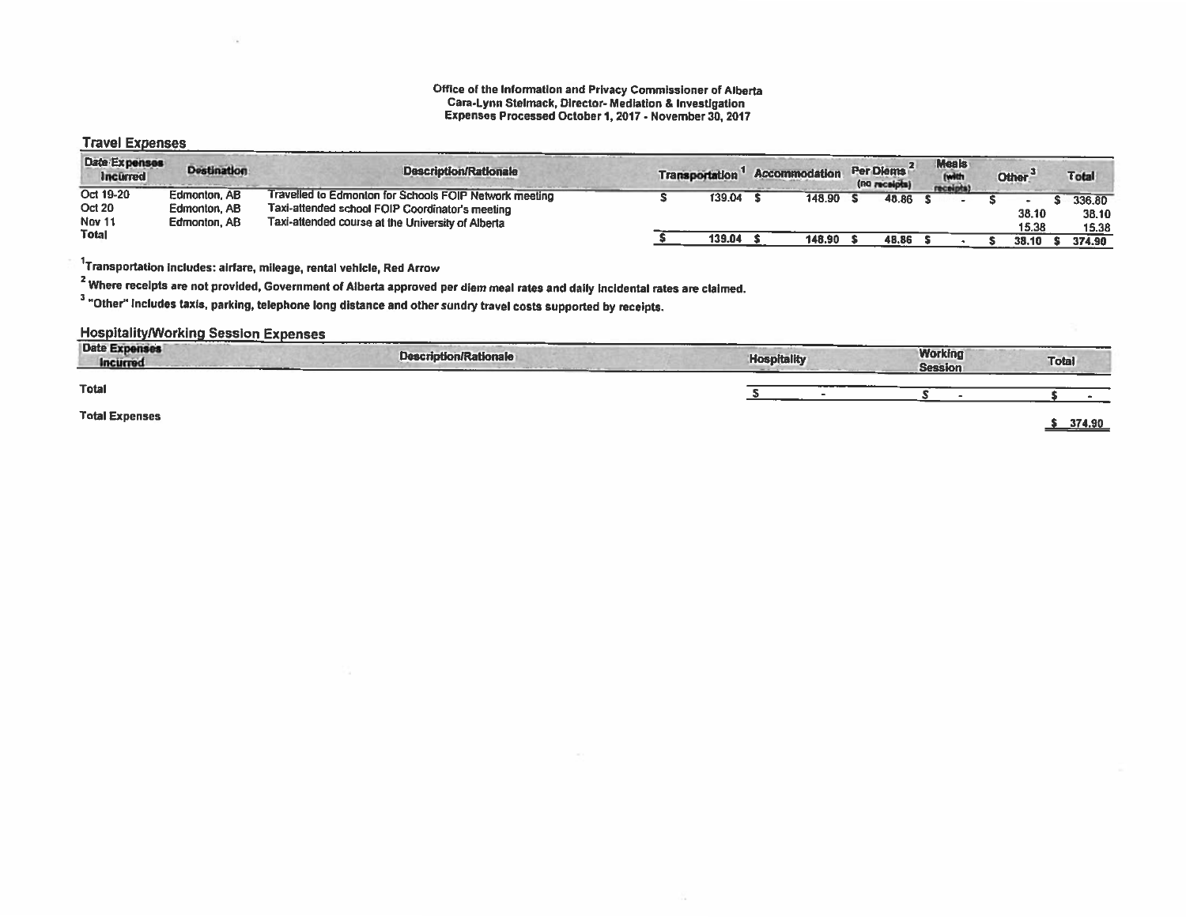#### Office of the Information and Privacy Commissioner of Alberta Cara-Lynn Stelmack, Director- Mediation & Investigation Expenses Processed October 1,2017 - November 30. 2017

## Travel Expenses

| <b>Date Expenses</b><br><b>Incurred</b> | <b>Destination</b>           | <b>Description/Rationale</b>                                                                              | <b>Transportation</b> |        | <b>Accommodation</b> | Per Diems<br>(no receipts) | <b>Meals</b><br><b>Iwith</b><br>receipts: | Other <sup>'</sup> | <b>Total</b>    |
|-----------------------------------------|------------------------------|-----------------------------------------------------------------------------------------------------------|-----------------------|--------|----------------------|----------------------------|-------------------------------------------|--------------------|-----------------|
| Oct 19-20<br><b>Oct 20</b>              | Edmonton, AB<br>Edmonton, AB | Travelled to Edmonton for Schools FOIP Network meeting<br>Taxi-attended school FOIP Coordinator's meeting |                       | 139.04 | 148.90               | 48.86                      |                                           | 38.10              | 336.80<br>38.10 |
| <b>Nov 11</b><br><b>Total</b>           | Edmonton, AB                 | Taxi-attended course at the University of Alberta                                                         |                       | 139.04 | 148.90               | 48.86                      |                                           | 15.38<br>38.10     | 15.38<br>374.90 |

 $^{1}$ Transportation includes: airfare, mileage, rental vehicle, Red Arrow

<sup>2</sup> Where recelpts are not provided, Government of Alberta approved per diem meal rates and daily incidental rates are claimed.

<sup>3</sup> "Other" includes taxis, parking, telephone long distance and other sundry travel costs supported by receipts.

## **Hospitality/Working Session Expenses**

| <b>CONTRACTOR</b> CONTRACTOR<br><b>Date Expenses</b><br><b>Incurred</b> | <b>Description/Rationale</b> | <b>Hospitality</b> | <b>Working</b><br><b>Session</b> | <b>Total</b> |
|-------------------------------------------------------------------------|------------------------------|--------------------|----------------------------------|--------------|
| <b>Total</b>                                                            |                              |                    |                                  |              |
| <b>Total Expenses</b>                                                   |                              |                    |                                  | 374.90       |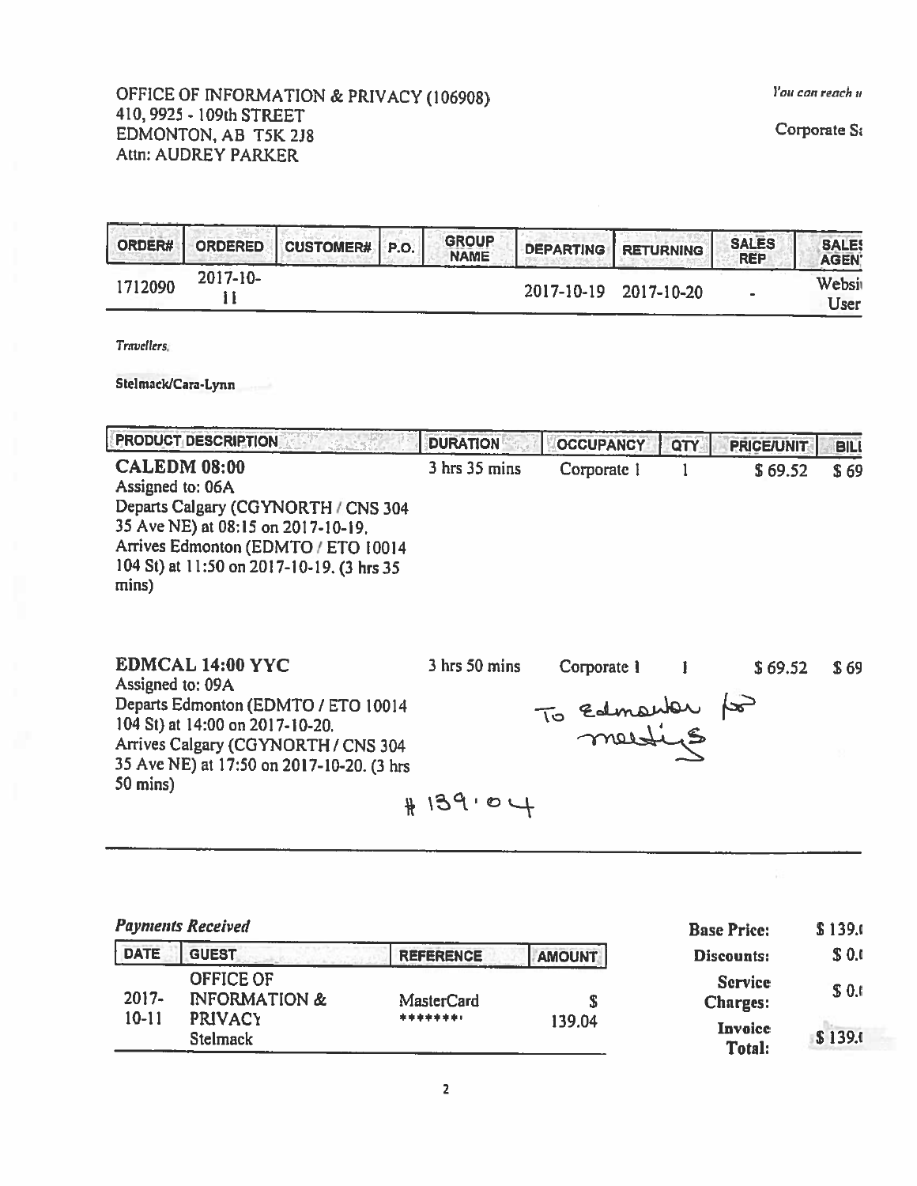## OFFICE OF INFORMATION & PRIVACY (106908) The Contract of the Contract of the Contract of the Contract of the Contract of the Contract of the Contract of the Contract of the Contract of the Contract of the Contract of the C 410, 9925- 109th STREET EDMONTON, AD T5K 2J8 Attn: AUDREY PARKER

| ORDER#  | ORDERED       | CUSTOMER# P.O. | <b>GROUP</b><br>NAME | <b>I DEPARTING RETURNING</b> |                       | <b>SALES</b><br><b>REP</b> | <b>SALE</b><br><b>AGEN</b> |
|---------|---------------|----------------|----------------------|------------------------------|-----------------------|----------------------------|----------------------------|
| 1712090 | $2017 - 10 -$ |                |                      |                              | 2017-10-19 2017-10-20 |                            | Websi<br>User              |

Travellers.

Stelmack/Cara-Lynn

PRODUCT DESCRIPTION **DURATION DURATION COCUPANCY QTY** PRICE/UNIT

CALEDM 08:00 3 hrs 35 mins Corporate 1 1 \$ 69.52 \$ 69 Assigned to: 06A Departs Calgary (CGYNORTH / CNS 304 35 Ave NE) at 08:15 on 2017-10-19. Arrives Edmonton (EDMTO / ETO 10014 104 St) at 11:50 on 2017-10-19. (3 hrs 35 mins)

EDMCAL 14:00 YYC 3 hrs 50 mins Corporate 1 1 \$ 69.52 \$ 69 Assigned to: 09A Departs Edmonton (EDMTO / ETO 10014 — To Edmonton 104 St) at 14:00 on 2017-10-20.<br>104 St) at 14:00 on 2017-10-20.<br>Arrives Calgary (CGYNORTH / CNS 304 — MOLLUS Arrives Calgary (CGYNORTH / CNS 304 35 Ave NE) at 17:50 on 2017-10-20. (3 hrs 50 mins)<br>  $\#$  139 · 04

|             | <b>Payments Received</b>                     | <b>Base Price:</b> | \$139.0       |                                   |         |
|-------------|----------------------------------------------|--------------------|---------------|-----------------------------------|---------|
| <b>DATE</b> | <b>GUEST</b>                                 | <b>REFERENCE</b>   | <b>AMOUNT</b> | Discounts:                        | \$0.0   |
| $2017 -$    | <b>OFFICE OF</b><br><b>INFORMATION &amp;</b> | MasterCard         |               | <b>Service</b><br><b>Charges:</b> | \$0.0   |
| $10-11$     | <b>PRIVACY</b><br><b>Stelmack</b>            | ********           | 139.04        | Invoice<br>Total:                 | \$139.0 |

Corporate S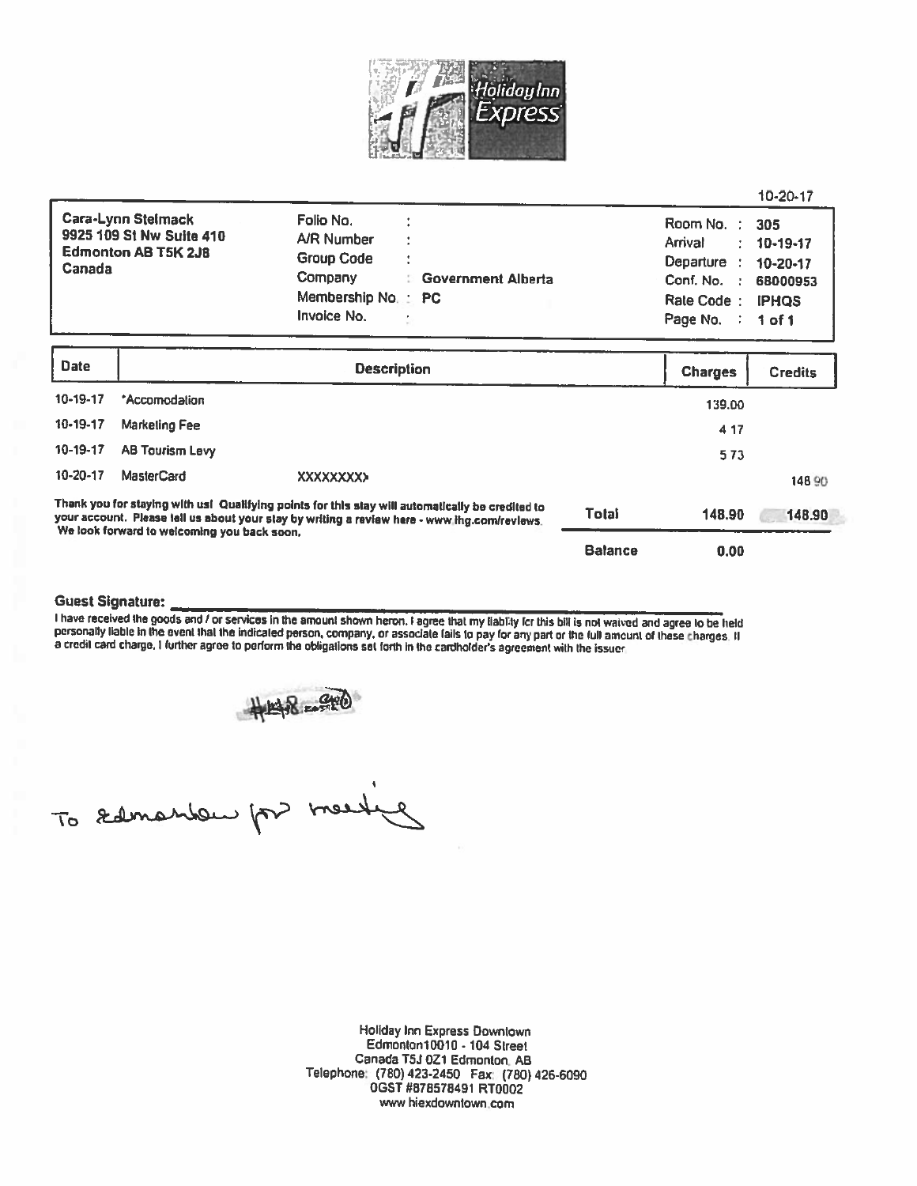

|                                                                                                                                                                                                                                                 |                   |                                                                                                                                                                | <b>Balance</b> | 0.00                                                                                   |                                                                             |
|-------------------------------------------------------------------------------------------------------------------------------------------------------------------------------------------------------------------------------------------------|-------------------|----------------------------------------------------------------------------------------------------------------------------------------------------------------|----------------|----------------------------------------------------------------------------------------|-----------------------------------------------------------------------------|
| Thank you for staying with ust Qualifying points for this stay will automatically be credited to<br>your account. Please tell us about your stay by writing a review here - www.ihg.com/reviews.<br>We look forward to welcoming you back soon. |                   |                                                                                                                                                                | <b>Total</b>   | 148.90                                                                                 | 148.90                                                                      |
| 10-20-17                                                                                                                                                                                                                                        | <b>MasterCard</b> | <b>XXXXXXXXX</b>                                                                                                                                               |                |                                                                                        | 148 90                                                                      |
| 10-19-17                                                                                                                                                                                                                                        | AB Tourism Levy   |                                                                                                                                                                |                | 573                                                                                    |                                                                             |
| 10-19-17                                                                                                                                                                                                                                        | Marketing Fee     |                                                                                                                                                                |                | 4.17                                                                                   |                                                                             |
| 10-19-17                                                                                                                                                                                                                                        | *Accomodation     |                                                                                                                                                                |                | 139.00                                                                                 |                                                                             |
| <b>Date</b>                                                                                                                                                                                                                                     |                   |                                                                                                                                                                | <b>Charges</b> | <b>Credits</b>                                                                         |                                                                             |
| Cara-Lynn Stelmack<br>9925 109 St Nw Suite 410<br><b>Edmonton AB T5K 2J8</b><br>Canada                                                                                                                                                          |                   | Folio No.<br>A/R Number<br>Group Code<br>٠<br>$\ddot{\phantom{1}}$<br>Company<br><b>Government Alberta</b><br>Membership No.<br>$\therefore$ PC<br>Invoice No. |                | Room No.<br>Arrival<br>Departure<br>Conf. No.<br>- 1<br>Rate Code:<br>Page No.<br>- 11 | 305<br>10-19-17<br>$10 - 20 - 17$<br>68000953<br><b>IPHOS</b><br>$1$ of $1$ |

#### Guest Signature:

l have received the goods and / or services in the amount shown heron. I agree that my liability for this bill is not waived and agree to be held<br>personally liable in the event that the indicated person, company, or associ

#148-980

To samantem por meeting

Holiday Inn Express Downtown Edmonton10010 - 104 Street Canada T5J OZ1 Edmonton. AS Telephone: (780) 423-2450 Fax: (780) 426-6090 OGST #878578491 RT0002 <sup>w</sup>hiexdowniown.com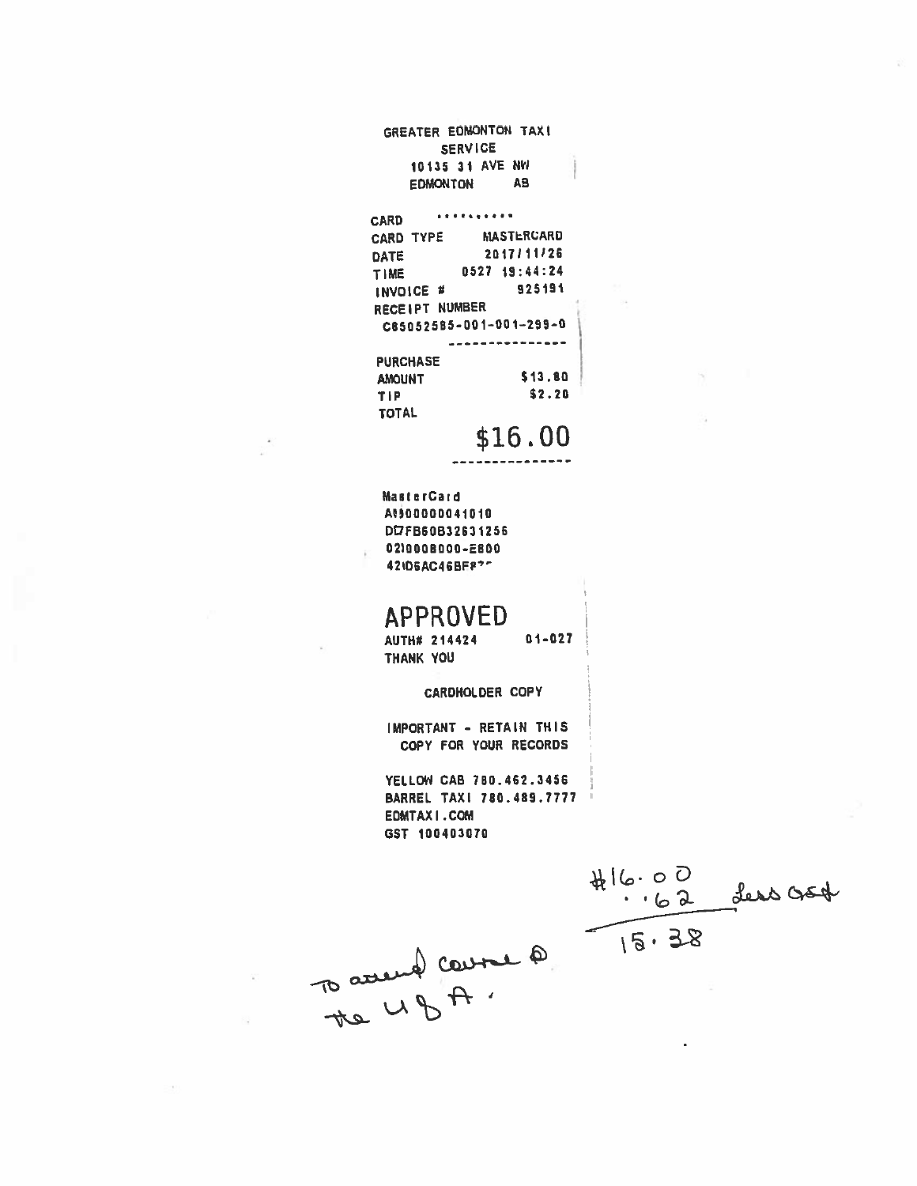GREATER EDMONTON TAX! **SERVICE** 10135 31 AVE NW EDMONTON AB

#### . . . . . . . . . . **CARD**

| <b>CARD TYPE</b> | <b>MASTERCARD</b>       |
|------------------|-------------------------|
| DATE             | 2017/11/26              |
| TIME             | 0527 19:44:24           |
| INVOICE #        | 925191                  |
| RECEIPT NUMBER   |                         |
|                  | C85052585-001-001-299-0 |
|                  |                         |
| <b>PURCHASE</b>  |                         |
| <b>AMOUNT</b>    | S 13.80                 |
| TIP              | \$2.20                  |
| <b>TOTAL</b>     |                         |
|                  |                         |

\$16.00

**MasterCard** At500000041010 DI7FB60B32631256 021000B000-E800 42ID6AC46BEP?"

# **APPROVED**

 $01 - 027$ AUTH# 214424 THANK YOU

CARDHOLDER COPY

IMPORTANT - RETAIN THIS COPY FOR YOUR RECORDS

YELLOW CAB 780.462.3456 BARREL TAXI 780.489.7777 **EDMTAXI.COM** GST 100403070

 $416.00$ <br> $-62$  deep good To assemed course 0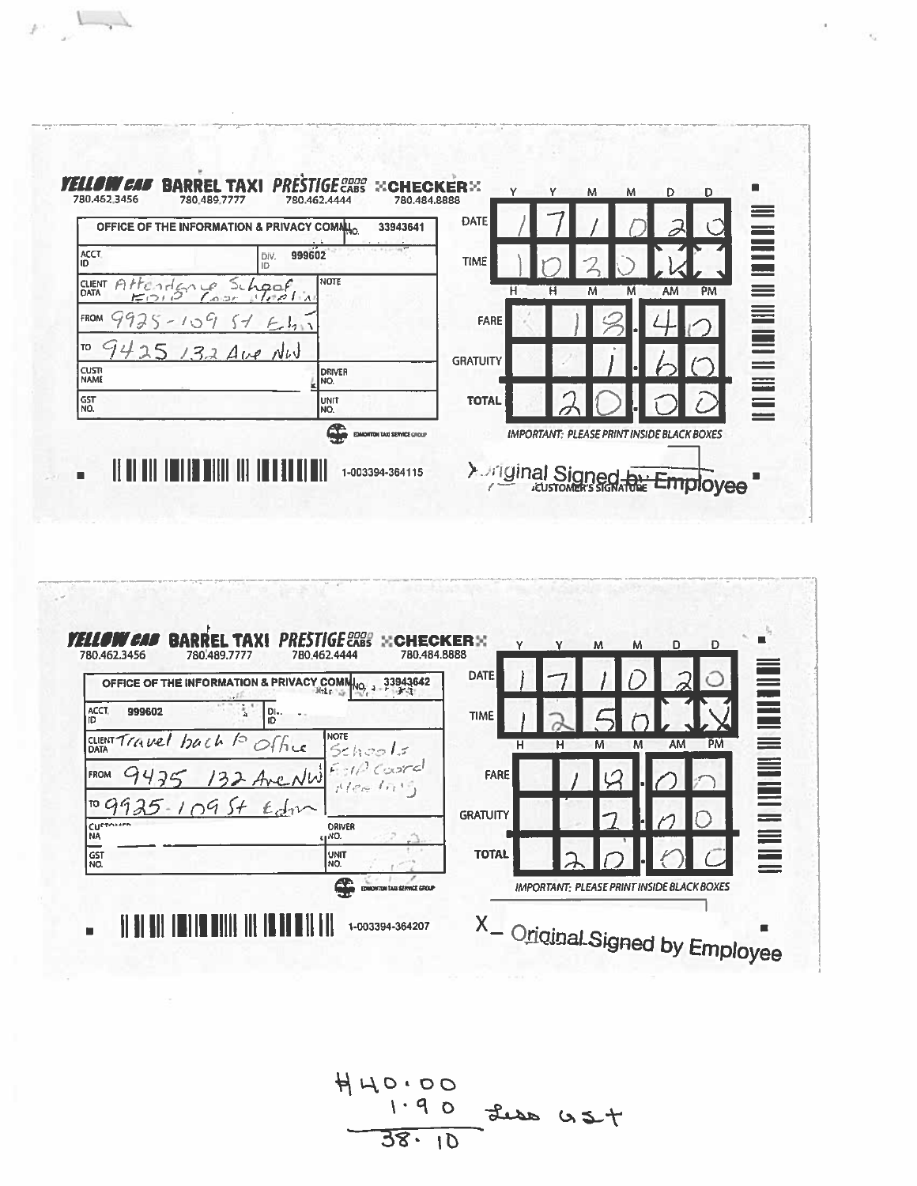

 $F$ 



 $440.00$ <br>1.90 the US+  $38.10$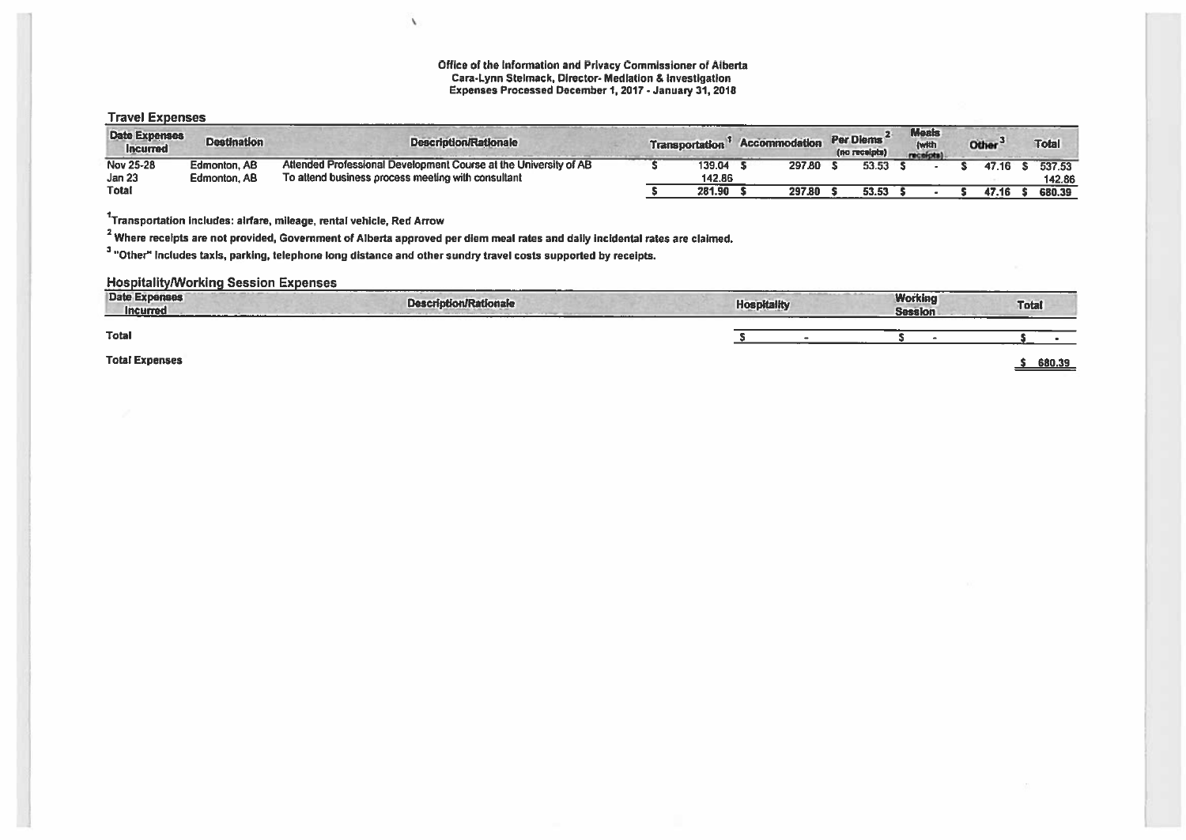Office of the Information and Privacy Commissioner of Alberta Cara-Lynn Stelmack, Director- Mediation & investigation Expenses Processed December 1, 2017 -January 31, 2018

## Travel Expenses

| <b>Date Expenses</b><br><b>Incurred</b> | <b>Destination</b> | <b>Description/Rationale</b>                                     | Transportation | <b>Accommodation</b> | Per Diems<br>(no receipts) | <b>Meals</b><br><b>(with</b><br>receipts. | <b>Other</b> | Total  |
|-----------------------------------------|--------------------|------------------------------------------------------------------|----------------|----------------------|----------------------------|-------------------------------------------|--------------|--------|
| Nov 25-28                               | Edmonton, AB       | Attended Professional Development Course at the University of AB | 139.04         | 297.80               | 53.53                      |                                           | 47.16        | 537.53 |
| Jan 23                                  | Edmonton, AB       | To attend business process meeting with consultant               | 142.86         |                      |                            |                                           |              | 142.86 |
| <b>Total</b>                            |                    |                                                                  | 281.90         | 297.80               | 53.53                      |                                           | 47.16        | 680.39 |

 $1$ Transportation includes: alrfare, mileage, rental vehicle, Red Arrow

<sup>2</sup> Where receipts are not provided, Government of Alberta approved per diem meal rates and daily incidental rates are claimed.

 $\lambda$ 

 $3$  "Other" includes taxis, parking, telephone long distance and other sundry travel costs supported by receipts.

## Hospitality/Working Session Expenses

| <b>Date Expenses</b><br><b>Incurred</b> | <b>Description/Rationale</b> | <b>Hospitality</b> | <b>Working</b><br><b>Session</b> | <b>Total</b> |
|-----------------------------------------|------------------------------|--------------------|----------------------------------|--------------|
| Total                                   |                              |                    |                                  |              |
| <b>Total Expenses</b>                   |                              |                    |                                  | 680.39       |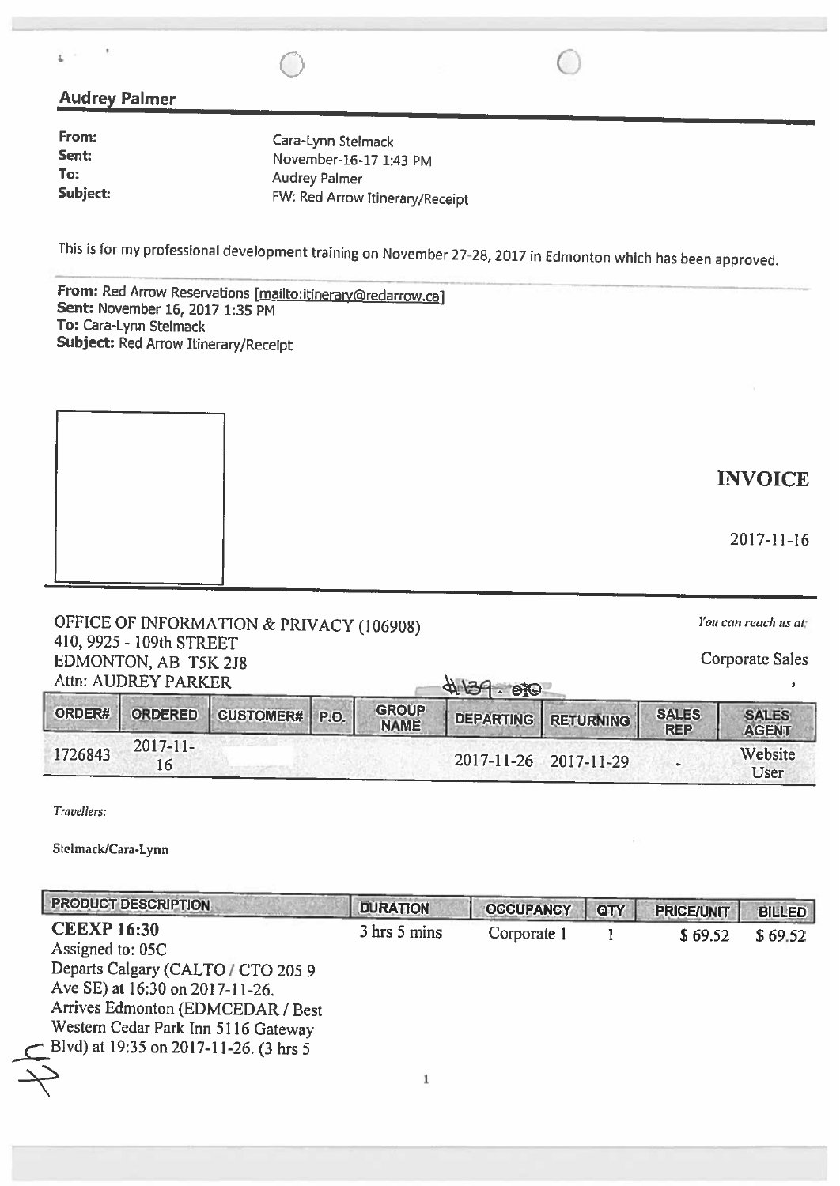## Audrey Palmer

ì

| From:    | Cara-Lynn Stelmack              |
|----------|---------------------------------|
| Sent:    | November-16-17 1:43 PM          |
| To:      | <b>Audrey Palmer</b>            |
| Subject: | FW: Red Arrow Itinerary/Receipt |

This is for my professional development training on November 27-28, <sup>2017</sup> in Edmonton which has been approved.

 $\circ$   $\circ$ 

From: Red Arrow Reservations [mailto:itinerary@redarrow.ca]<br>Sent: November 16, 2017 1:35 PM To: Cara-Lynn Stelmack Subject: Red Arrow Itinerary/Receipt



| You can reach us at                                 |
|-----------------------------------------------------|
|                                                     |
| Corporate Sales                                     |
|                                                     |
| OFFICE OF INFORMATION & PRIVACY (106908)<br>4139.80 |

| Attn: AUDREY PARKER |                     |                       |  | 4139.90                     |  |                       |                            |                              |
|---------------------|---------------------|-----------------------|--|-----------------------------|--|-----------------------|----------------------------|------------------------------|
| ORDER#              | ORDERED             | <b>CUSTOMER#</b> P.O. |  | <b>GROUP</b><br><b>NAME</b> |  | DEPARTING RETURNING   | <b>SALES</b><br><b>REP</b> | <b>SALES</b><br><b>AGENT</b> |
| 1726843             | $2017 - 11 -$<br>16 |                       |  |                             |  | 2017-11-26 2017-11-29 | $\sim$                     | Website<br>User              |

Travellers:

Stelmack/Cara-Iynn

| <b>PRODUCT DESCRIPTION</b>               | <b>DURATION</b> | <b>OCCUPANCY</b> | QTY | <b>PRICE/UNIT</b> | <b>BILLED</b> |
|------------------------------------------|-----------------|------------------|-----|-------------------|---------------|
| <b>CEEXP 16:30</b>                       | 3 hrs 5 mins    | Corporate 1      |     | \$69.52           | \$69.52       |
| Assigned to: 05C                         |                 |                  |     |                   |               |
| Departs Calgary (CALTO / CTO 205 9       |                 |                  |     |                   |               |
| Ave SE) at 16:30 on 2017-11-26.          |                 |                  |     |                   |               |
| Arrives Edmonton (EDMCEDAR / Best        |                 |                  |     |                   |               |
| Western Cedar Park Inn 5116 Gateway      |                 |                  |     |                   |               |
| - Blvd) at 19:35 on 2017-11-26. (3 hrs 5 |                 |                  |     |                   |               |
|                                          |                 |                  |     |                   |               |
|                                          |                 |                  |     |                   |               |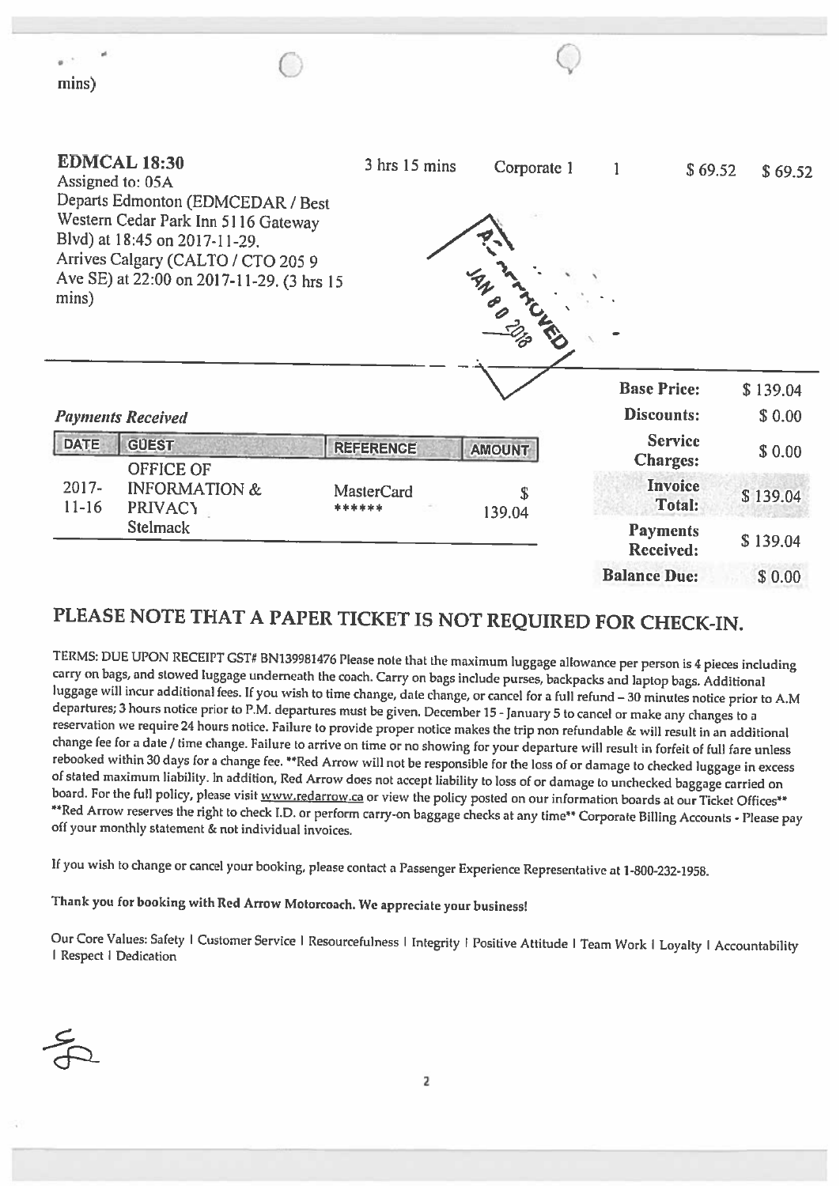| mins)                 |                                                                                                                                                                                                                                         |                             |               |                                   |          |
|-----------------------|-----------------------------------------------------------------------------------------------------------------------------------------------------------------------------------------------------------------------------------------|-----------------------------|---------------|-----------------------------------|----------|
| mins)                 | <b>EDMCAL 18:30</b><br>Assigned to: 05A<br>Departs Edmonton (EDMCEDAR / Best<br>Western Cedar Park Inn 5116 Gateway<br>Blvd) at 18:45 on 2017-11-29.<br>Arrives Calgary (CALTO / CTO 205 9<br>Ave SE) at 22:00 on 2017-11-29. (3 hrs 15 | $3$ hrs $15$ mins           | Corporate 1   | $\mathbf{1}$<br>\$69.52           | \$69.52  |
|                       |                                                                                                                                                                                                                                         |                             |               | <b>Base Price:</b>                | \$139.04 |
|                       | <b>Payments Received</b>                                                                                                                                                                                                                |                             |               | <b>Discounts:</b>                 | \$0.00   |
| <b>DATE</b>           | <b>GUEST</b>                                                                                                                                                                                                                            | <b>REFERENCE</b>            | <b>AMOUNT</b> | <b>Service</b><br><b>Charges:</b> | \$0.00   |
| $2017 -$<br>$11 - 16$ | OFFICE OF<br><b>INFORMATION &amp;</b><br><b>PRIVACY</b>                                                                                                                                                                                 | <b>MasterCard</b><br>****** | \$<br>139.04  | <b>Invoice</b><br><b>Total:</b>   | \$139.04 |
|                       | <b>Stelmack</b>                                                                                                                                                                                                                         |                             |               | <b>Payments</b><br>Received:      | \$139.04 |
|                       |                                                                                                                                                                                                                                         |                             |               | <b>Balance Due:</b>               | \$0.00   |

# PLEASE NOTE THAT <sup>A</sup> PAPER TICKET IS NOT REQUIRED FOR CHECK-IN.

TERMS: DUE UPON RECEIPT GST# BN139981476 Please note that the maximum luggage allowance per person is 4 pieces including<br>carry on bags, and stowed luggage underneath the coach. Carry on bags include purses, backpacks and l

If you wish to change or cancel your booking, <sup>p</sup>lease contact <sup>a</sup> Passenger Experience Representative at 1-800-232-1958.

Thank you for booking with Red Arrow Motorcoach. We appreciate your business!

Our Core Values: Safety I Customer Service I Resourcefulness I Integrity I Positive Attitude I Team Work I Loyalty I Accountability<br>I Respect I Dedication

--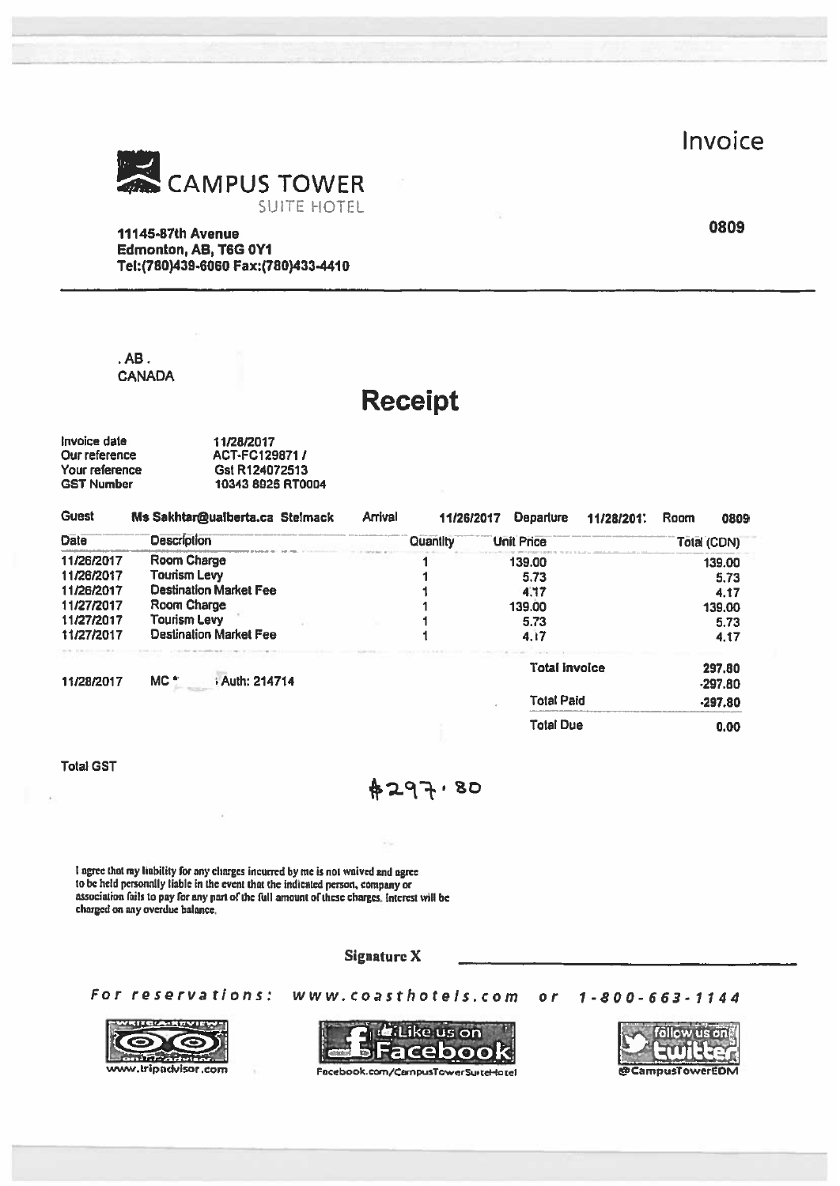**Invoice** 



# Receipt

| Invoice date   | 11/28/2017        |
|----------------|-------------------|
| Our reference  | ACT-FC129871/     |
| Your reference | Gst R124072513    |
| GST Number     | 10343 8925 RT0004 |

|                                                                      |                                                                                                                                                                                                                                                                                                       |                |                        |                                       | Invoice                                          |
|----------------------------------------------------------------------|-------------------------------------------------------------------------------------------------------------------------------------------------------------------------------------------------------------------------------------------------------------------------------------------------------|----------------|------------------------|---------------------------------------|--------------------------------------------------|
|                                                                      | CAMPUS TOWER                                                                                                                                                                                                                                                                                          |                |                        |                                       |                                                  |
|                                                                      | <b>SUITE HOTEL</b>                                                                                                                                                                                                                                                                                    |                |                        |                                       |                                                  |
|                                                                      | <b>11145-87th Avenue</b>                                                                                                                                                                                                                                                                              |                |                        |                                       | 0809                                             |
|                                                                      | Edmonton, AB, T6G 0Y1<br>Tel:(780)439-6060 Fax:(780)433-4410                                                                                                                                                                                                                                          |                |                        |                                       |                                                  |
|                                                                      |                                                                                                                                                                                                                                                                                                       |                |                        |                                       |                                                  |
|                                                                      |                                                                                                                                                                                                                                                                                                       |                |                        |                                       |                                                  |
| $.$ AB $.$                                                           |                                                                                                                                                                                                                                                                                                       |                |                        |                                       |                                                  |
|                                                                      | <b>CANADA</b>                                                                                                                                                                                                                                                                                         |                |                        |                                       |                                                  |
|                                                                      |                                                                                                                                                                                                                                                                                                       |                | <b>Receipt</b>         |                                       |                                                  |
| Invoice date<br>Our reference<br>Your reference<br><b>GST Number</b> | 11/28/2017<br>ACT-FC129871 /<br>Gst R124072513<br>10343 8925 RT0004                                                                                                                                                                                                                                   |                |                        |                                       |                                                  |
| <b>Guest</b>                                                         |                                                                                                                                                                                                                                                                                                       | <b>Arrival</b> |                        |                                       |                                                  |
| <b>Date</b>                                                          | Ms Sakhtar@ualberta.ca Stelmack<br><b>Description</b>                                                                                                                                                                                                                                                 |                | 11/26/2017<br>Quantity | <b>Departure</b><br><b>Unit Price</b> | Room<br>11/28/2011<br>0809<br><b>Total (CDN)</b> |
| 11/26/2017                                                           | Room Charge                                                                                                                                                                                                                                                                                           |                |                        | 139.00                                | 139.00                                           |
| 11/26/2017<br>11/26/2017                                             | <b>Tourism Levy</b><br><b>Destination Market Fee</b>                                                                                                                                                                                                                                                  |                |                        | 5.73<br>4.17                          | 5.73                                             |
| 11/27/2017                                                           | <b>Room Charge</b>                                                                                                                                                                                                                                                                                    |                |                        | 139.00                                | 4.17<br>139.00                                   |
| 11/27/2017                                                           | <b>Tourism Levy</b>                                                                                                                                                                                                                                                                                   |                |                        | 5.73                                  | 5.73                                             |
| 11/27/2017                                                           | <b>Destination Market Fee</b>                                                                                                                                                                                                                                                                         |                | 1                      | 4.17                                  | 4.17                                             |
| 11/28/2017                                                           | Auth: 214714<br>MC <sup>*</sup>                                                                                                                                                                                                                                                                       |                |                        | Total invoice                         | 297.80<br>$-297.80$                              |
|                                                                      |                                                                                                                                                                                                                                                                                                       |                |                        | <b>Total Paid</b>                     | $-297.80$                                        |
|                                                                      |                                                                                                                                                                                                                                                                                                       |                |                        | <b>Total Due</b>                      | 0.00                                             |
| <b>Total GST</b>                                                     |                                                                                                                                                                                                                                                                                                       |                |                        |                                       |                                                  |
|                                                                      |                                                                                                                                                                                                                                                                                                       |                | #297.80                |                                       |                                                  |
|                                                                      |                                                                                                                                                                                                                                                                                                       |                |                        |                                       |                                                  |
|                                                                      |                                                                                                                                                                                                                                                                                                       |                |                        |                                       |                                                  |
|                                                                      | I agree that my liability for any charges incurred by me is not waived and agree<br>to be held personally liable in the event that the indicated person, company or<br>association fails to pay for any part of the full amount of these charges, interest will be<br>charged on any overdue balance. |                |                        |                                       |                                                  |
|                                                                      |                                                                                                                                                                                                                                                                                                       |                |                        |                                       |                                                  |

For reservations: www.coasthotels.com or 1-800-663-1144







ww.trlpncklsor .Com @CampusTowerEoM Focebook.corn/Cwnpu&rowersuitcHo tot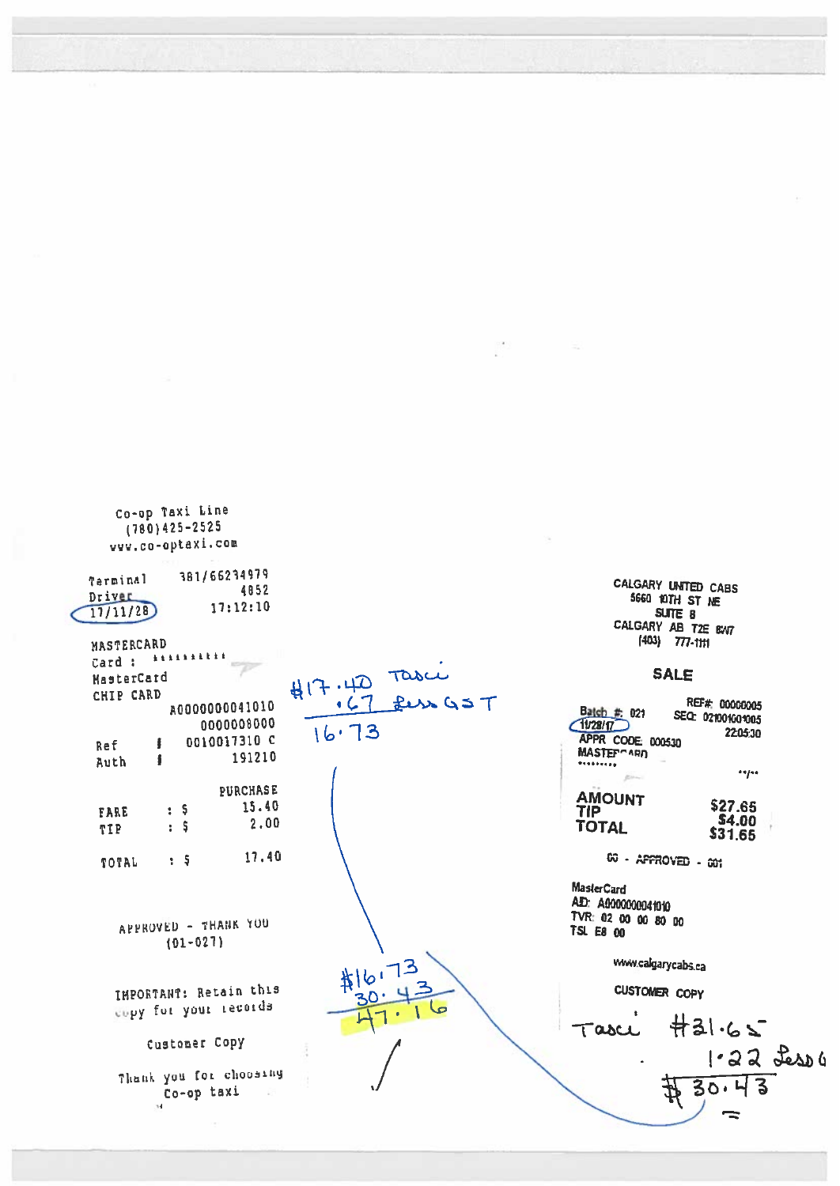| Co-op Taxi Line<br>$(780)425 - 2525$<br>vvv.co-optaxi.com                                  |                      |                                                                                                                                       |
|--------------------------------------------------------------------------------------------|----------------------|---------------------------------------------------------------------------------------------------------------------------------------|
| 381/66234979<br>Terminal<br>4852<br>Driver<br>17:12:10<br>17/11/28                         |                      | CALGARY UNITED CABS<br>5660 10TH ST NE<br>SUTE 8<br>CALGARY AB T2E BW7                                                                |
| MASTERCARD<br><b>A &amp; A &amp; &amp; &amp; &amp; &amp; &amp;</b><br>Card :<br>MasterCard | $417.40 \text{ rad}$ | $(403)$ 777-1111<br><b>SALE</b>                                                                                                       |
| CHIP CARD<br>A0000000041010<br>0000008000<br>0010017310 C<br>Ref<br>191210<br>ā<br>Auth    | 16.73                | REF#: 000000005<br>Batch # 021<br>SEC: 021001001005<br>71/28/17<br>2205:30<br>APPR CODE 000530<br>MASTEP <sup>-ARD</sup><br>********* |
| <b>PURCHASE</b><br>15.40<br>: 5<br><b>FARE</b><br>2.00<br>S<br>t.<br>TIP                   |                      | 44144<br><b>AMOUNT</b><br>\$27.65<br>TIP<br><b>S4.00</b><br><b>TOTAL</b><br>\$31.65                                                   |
| 17.40<br>$\frac{1}{2}$<br>TOTAL                                                            |                      | 60 - APPROVED - 001                                                                                                                   |
| APPROVED - THANK YOU<br>$(01 - 027)$                                                       |                      | <b>MasterCard</b><br>AD: A0000000041010<br>TVR: 02 00 00 80 00<br>TSL E8 00                                                           |
|                                                                                            | #16.73               | www.calgarycabs.ca                                                                                                                    |
| IMPORTANT: Retain this                                                                     |                      | <b>CUSTOMER COPY</b>                                                                                                                  |
| copy for your records                                                                      |                      | H31.65<br>Tasce                                                                                                                       |
| Customer Copy                                                                              |                      | $1.22$ Less 4                                                                                                                         |
| Thank you for choosing<br>Co-op taxi                                                       |                      | 30.1                                                                                                                                  |

 $\equiv$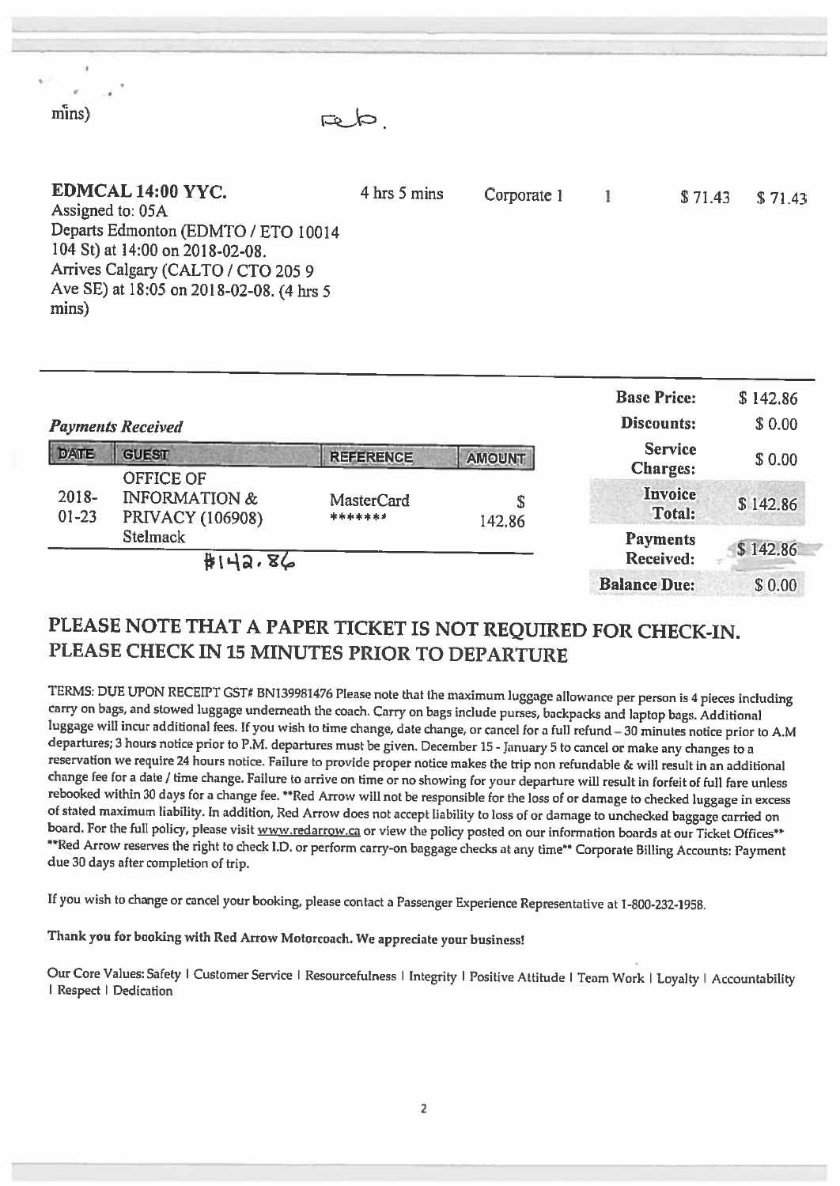| mmma l<br>G O                                                                                                                                                                                              |              |             |         |         |
|------------------------------------------------------------------------------------------------------------------------------------------------------------------------------------------------------------|--------------|-------------|---------|---------|
| EDMCAL 14:00 YYC.<br>Assigned to: 05A<br>Departs Edmonton (EDMTO / ETO 10014<br>104 St) at 14:00 on 2018-02-08.<br>Arrives Calgary (CALTO / CTO 205 9<br>Ave SE) at 18:05 on 2018-02-08. (4 hrs 5<br>mins) | 4 hrs 5 mins | Corporate 1 | \$71.43 | \$71.43 |
|                                                                                                                                                                                                            |              |             |         |         |

t

C  $r_{\rm{line}}$ 

|                    | <b>Payments Received</b>                                                |                       |               | <b>Base Price:</b><br>Discounts:  | \$142.86<br>\$0.00 |
|--------------------|-------------------------------------------------------------------------|-----------------------|---------------|-----------------------------------|--------------------|
| <b>DATE</b>        | <b>GUEST</b>                                                            | <b>REFERENCE</b>      | <b>AMOUNT</b> | <b>Service</b><br><b>Charges:</b> | \$0.00             |
| 2018-<br>$01 - 23$ | <b>OFFICE OF</b><br><b>INFORMATION &amp;</b><br><b>PRIVACY (106908)</b> | MasterCard<br>******* | S<br>142.86   | Invoice<br>Total:                 | \$142.86           |
|                    | <b>Stelmack</b><br>#112.86                                              |                       |               | <b>Payments</b><br>Received:      | \$142.86           |
|                    |                                                                         |                       |               | <b>Balance Due:</b>               | \$0.00             |

# PLEASE NOTE THAT <sup>A</sup> PAPER TICKET IS NOT REQUIRED FOR CHECK-IN. PLEASE CHECK IN 15 MINUTES PRIOR TO DEPARTURE

TERMS: DUE UPON RECEIPT CST# BN139981476 Please note that the maximum luggage allowance per person is <sup>4</sup> <sup>p</sup>ieces including luggage will incur additional fees. If you wish to time change, date change, or cancel for a full refund – 30 minutes notice prior to A.M<br>departures; 3 hours notice prior to P.M. departures must be given. December 15 - Jan change fee for a date / time change. Failure to arrive on time or no showing for your departure will result in forfeit of full fare unless<br>rebooked within 30 days for a change fee. \*\*Red Arrow will not be responsible for t of stated maximum liability. In addition, Red Arrow does not accept liability to loss of or damage to unchecked baggage carried on board. For the full policy, please visit www.redarrow.ca or view the policy posted on our i

If you wish to change or cancel your booking, <sup>p</sup>lease contact <sup>a</sup> Passenger Experience Representative at 1-800-232-1958.

Thank you for booking with Red Arrow Motorcoach. We appreciate your business!

Our Core Values: Safety | Customer Service | Resourcefulness | Integrity | Positive Attitude | Team Work | Loyalty | Accountability | Respect | Dedication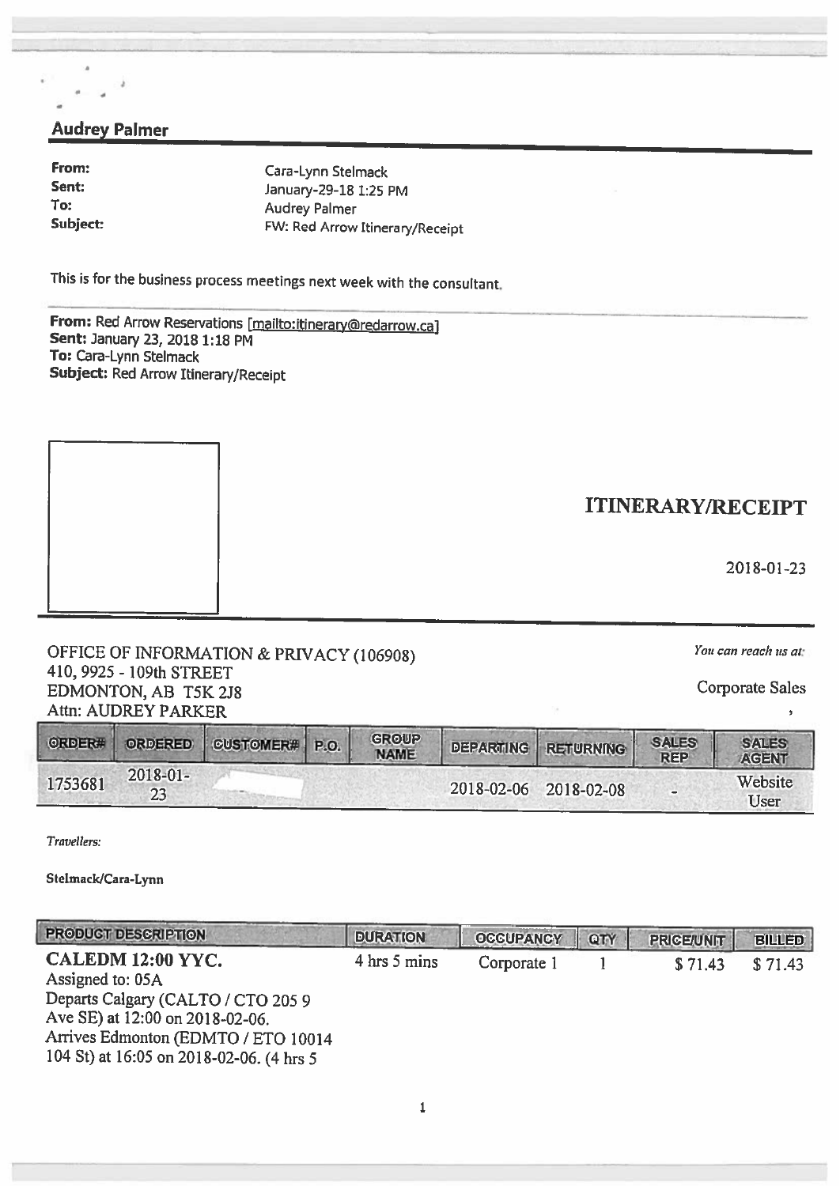## Audrey Palmer

0

From: Cara-Lynn Stelmack<br>
Sent: Sent: Sent: Cara-Lynn Stelmack Sent January-29-18 1:25 PM To:<br>
Subject:<br>
Subject:<br>
TW: Red Arrow FW: Red Arrow Itinerary/Receipt

This is for the business process meetings next week with the consultant.

From: Red Arrow Reservations [mailto:itinerary@redarrow.ca] Sent: January 23, 2018 1:18 PM To: Cara-Lynn Stelmack Subject: Red Arrow Itinerary/Receipt

OFFICE OF INFORMATION & PRIVACY (106908)  $You can reach us at:$ 410, 9925 - 109th STREET EDMONTON, AB T5K 2J8 Corporate Sales Attn: AUDREY PARKER

ORDER# ORDERED CUSTOMER# P.O. GROUP DEPARTING RETURNING SALES **SALES** AGENT 1753681 2018-01-2018-02-06 2018-02-08 - Website 2018-02-06 2018-02-08 User

Travellers:

Stelmack/Cara-Lynn

| <b>PRODUCT DESCRIPTION</b>                                                                                                                               | <b>DURATION</b> | <b>OCCUPANCY</b> | QTY | <b>PRICE/UNIT</b> | <b>BILLED</b> |
|----------------------------------------------------------------------------------------------------------------------------------------------------------|-----------------|------------------|-----|-------------------|---------------|
| CALEDM 12:00 YYC.<br>Assigned to: 05A                                                                                                                    | 4 hrs 5 mins    | Corporate 1      |     | \$71.43           | \$71.43       |
| Departs Calgary (CALTO / CTO 205 9<br>Ave SE) at 12:00 on 2018-02-06.<br>Arrives Edmonton (EDMTO / ETO 10014<br>104 St) at 16:05 on 2018-02-06. (4 hrs 5 |                 |                  |     |                   |               |

ITINERARY/RECEIPT

2018-01-23

 $\overline{ }$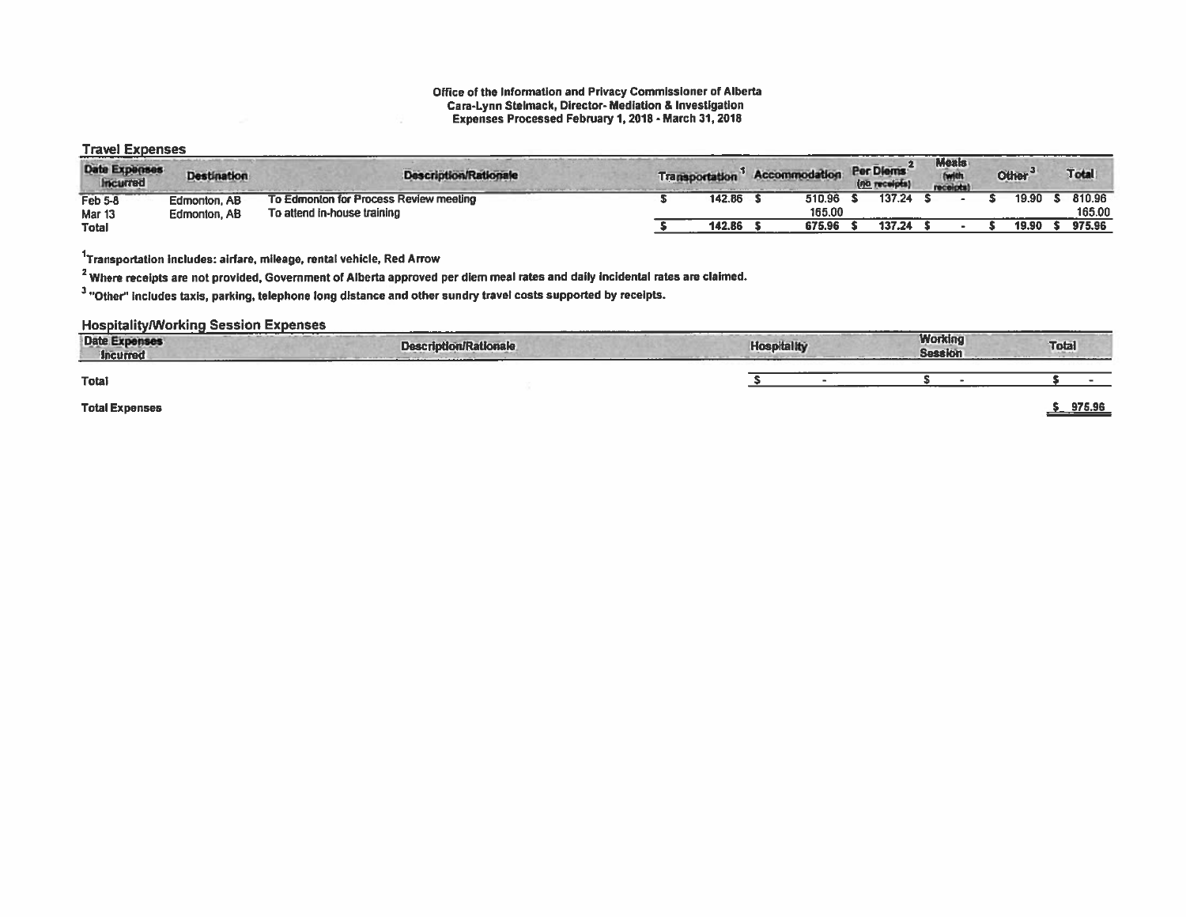#### Office of the Information and Privacy Commissioner of Alberta Cara-Lynn Stelmack, Director- Mediation & Investigation Expenses Processed February 1, 2018- March 31, 2018

### Travel Expenses

| Date Expenses<br><b>Incurred</b> | <b>Destination</b> | <b>Description/Rationale</b>           | <b>Transportation</b> | Accommodation |        | Per Diems<br>(no receipts) | <b>Meals</b><br>receipts) | Other <sup>3</sup> | Total  |
|----------------------------------|--------------------|----------------------------------------|-----------------------|---------------|--------|----------------------------|---------------------------|--------------------|--------|
| Feb 5-8                          | Edmonton, AB       | To Edmonton for Process Review meeting | 142.86                |               | 510.96 | 137.24                     |                           | 19.90              | 810.96 |
| Mar <sub>13</sub>                | Edmonton, AB       | To attend in-house training            |                       |               | 165,00 |                            |                           |                    | 165.00 |
| <b>Total</b>                     |                    |                                        | 142.86                |               | 675.96 | 137.24                     |                           | 19.90              | 975.96 |

'Transportation includes: airfare, mileage, rental vehicle, Red Arrow

<sup>2</sup> Where receipts are not provided, Government of Alberta approved per diem meal rates and daily incidental rates are claimed.

<sup>3</sup> "Other" includes taxis, parking, telephone long distance and other sundry travel costs supported by receipts.

**Hospitality/Working Session Expenses** 

| <b>Date Expenses</b><br>Incurred<br>----- | ______<br><b>Description/Rationale</b> | <b>Hospitality</b> | <b>Working</b><br><b>Session</b> | <b>Total</b> |
|-------------------------------------------|----------------------------------------|--------------------|----------------------------------|--------------|
| <b>Total</b>                              |                                        |                    |                                  |              |
| <b>Total Expenses</b>                     |                                        |                    |                                  | 975.96       |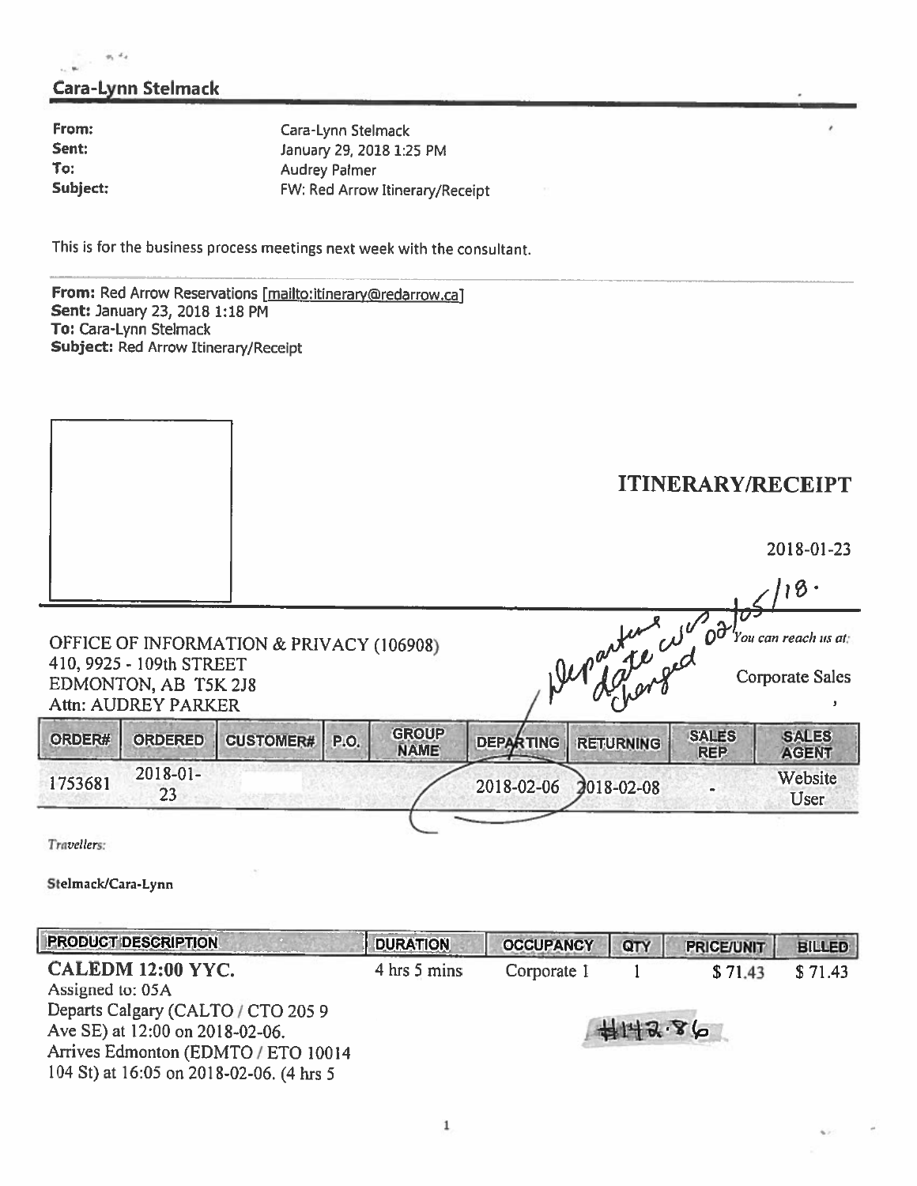## Cara-Lynn Stelmack

 $-1$ 

From: Cara-Lynn Stelmack<br>
Sent: Sent: Sent: Sent: Cara-Lynn Stelmack Sent: January 29, 2018 1:25 PM<br>To: Audrey Palmer Audrey Palmer Subject: FW: Red Arrow Itinerary/Receipt

This is for the business process meetings next week with the consultant.

From: Red Arrow Reservations [mailto:itinerary@redarrow.ca] Sent: January 23, 2018 1:18 PM To: Cara-Lynn Stelmack Subject: Red Arrow Itinerary/Receipt

|                                   |                                                                                |                                          |      |                             |                  |                  |     |                            | <b>ITINERARY/RECEIPT</b>                              |
|-----------------------------------|--------------------------------------------------------------------------------|------------------------------------------|------|-----------------------------|------------------|------------------|-----|----------------------------|-------------------------------------------------------|
|                                   |                                                                                |                                          |      |                             |                  |                  |     |                            | 2018-01-23                                            |
|                                   |                                                                                |                                          |      |                             |                  |                  |     |                            | $-118.$                                               |
|                                   | 410, 9925 - 109th STREET<br>EDMONTON, AB T5K 2J8<br><b>Attn: AUDREY PARKER</b> | OFFICE OF INFORMATION & PRIVACY (106908) |      |                             |                  |                  |     | Departure wood             | 'You can reach us at:<br><b>Corporate Sales</b><br>x, |
| ORDER#                            | <b>ORDERED</b>                                                                 | <b>CUSTOMER#</b>                         | P.O. | <b>GROUP</b><br><b>NAME</b> | <b>DEPARTING</b> | <b>RETURNING</b> |     | <b>SALES</b><br><b>REP</b> | <b>SALES</b><br><b>AGENT</b>                          |
| 1753681                           | 2018-01-<br>23                                                                 |                                          |      |                             | 2018-02-06       | $2018 - 02 - 08$ |     |                            | Website<br>User                                       |
| Travellers:<br>Stelmack/Cara-Lynn |                                                                                |                                          |      |                             |                  |                  |     |                            |                                                       |
|                                   | <b>PRODUCT DESCRIPTION</b>                                                     |                                          |      | <b>DURATION</b>             | <b>OCCUPANCY</b> |                  | QTY | <b>PRICE/UNIT</b>          | <b>BILLED</b>                                         |
| Assigned to: 05A                  | CALEDM 12:00 YYC.                                                              |                                          |      | 4 hrs 5 mins                | Corporate 1      |                  |     | \$71.43                    | \$71.43                                               |

Departs Calgary (CALTO / CTO 205 9 Ave SE) at 12:00 on 2018-02-06. Arrives Edmonton (EDMTO/ ETO 10014 104 St) at 16:05 on 2018-02-06. (4 hrs S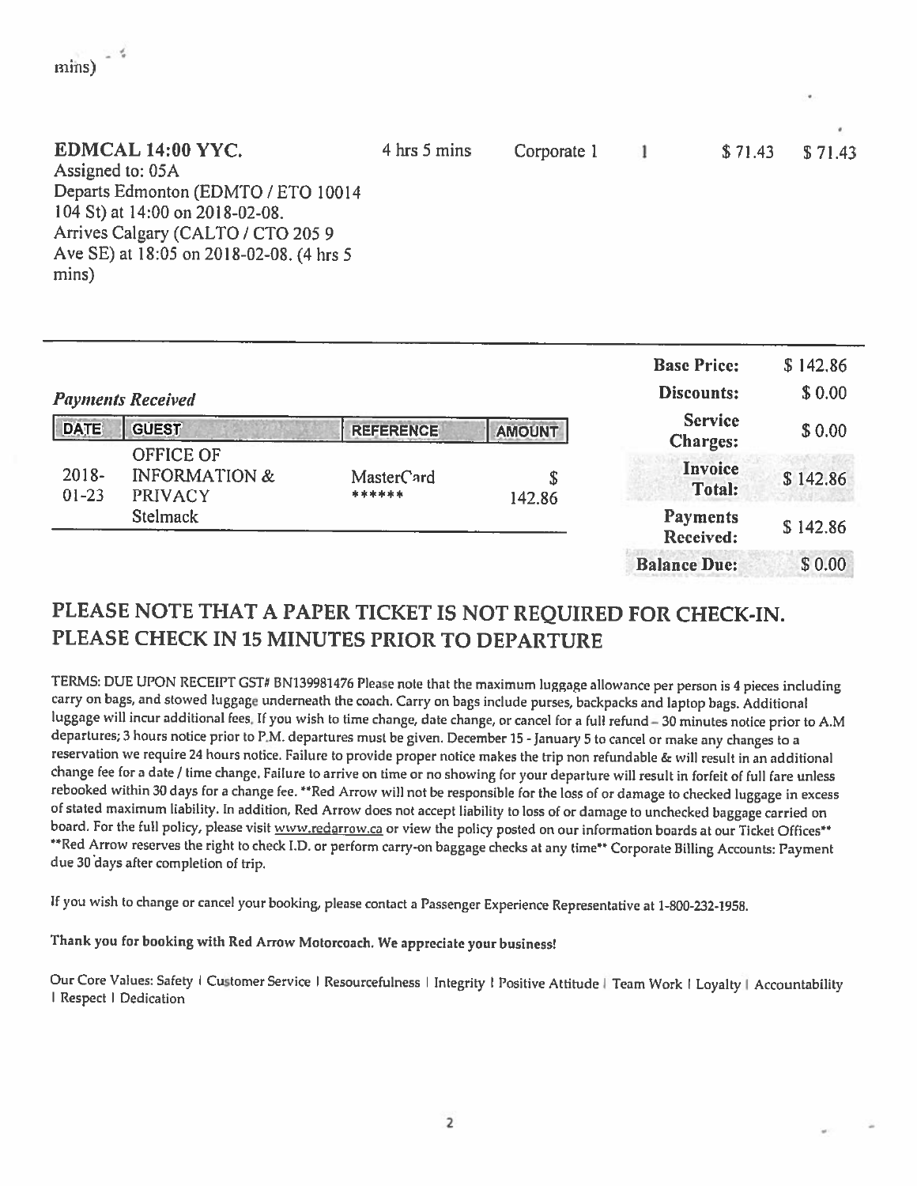| EDMCAL 14:00 YYC.<br>Assigned to: 05A<br>Departs Edmonton (EDMTO / ETO 10014<br>104 St) at 14:00 on 2018-02-08.<br>Arrives Calgary (CALTO / CTO 2059 | 4 hrs 5 mins | Corporate 1 | \$71.43 | \$71.43 |
|------------------------------------------------------------------------------------------------------------------------------------------------------|--------------|-------------|---------|---------|
| Ave SE) at 18:05 on 2018-02-08. (4 hrs 5<br>mins)                                                                                                    |              |             |         |         |

|                       | <b>Payments Received</b>                                |                      | <b>Base Price:</b><br>Discounts: | \$142.86<br>\$0.00                |          |
|-----------------------|---------------------------------------------------------|----------------------|----------------------------------|-----------------------------------|----------|
| <b>DATE</b>           | <b>GUEST</b>                                            | <b>REFERENCE</b>     | <b>AMOUNT</b>                    | <b>Service</b><br><b>Charges:</b> | \$0.00   |
| $2018 -$<br>$01 - 23$ | OFFICE OF<br><b>INFORMATION &amp;</b><br><b>PRIVACY</b> | MasterCard<br>****** | \$<br>142.86                     | Invoice<br><b>Total:</b>          | \$142.86 |
|                       | <b>Stelmack</b>                                         |                      |                                  | <b>Payments</b><br>Received:      | \$142.86 |
|                       |                                                         |                      |                                  | <b>Balance Due:</b>               | \$0.00   |

# PLEASE NOTE THAT <sup>A</sup> PAPER TICKET IS NOT REQUIRED FOR CHECK-IN. PLEASE CHECK IN 15 MINUTES PRIOR TO DEPARTURE

TERMS: DUE UPON RECEIPT CST# BN139981476 Please note that the maximum luggage allowance per person is <sup>4</sup> <sup>p</sup>ieces including carry on bags, and stowed luggage underneath the coach. Carry on bags include purses, backpacks and laptop bags. Additional luggage will incur additional fees. If you wish to time change, date change, or cancel for <sup>a</sup> full refund —30 minutes notice prior to A.M departures; 3 hours notice prior to P.M. departures must be given. December 15 - January 5 to cancel or make any changes to a reservation we require <sup>24</sup> hours notice. Failure to provide proper notice makes the trip non refundable & will result in an additional change fee for <sup>a</sup> date / time change. Failure to arrive on time or no showing for your departure wilt result in forfeit of full fare unless rebooked within 30 days for a change fee. \*\*Red Arrow will not be responsible for the loss of or damage to checked luggage in excess of stated maximum liability. In addition, Red Arrow does not accept liability to loss of or damage to unchecked baggage carried on board. For the full policy, please visit www.redarrow.ca or view the policy posted on our i \*\* Red Arrow reserves the right to check I.D. or perform carry-on baggage checks at any time\*\* Corporate Billing Accounts: Payment due <sup>30</sup> days after completion of trip.

If you wish to change or cancel your booking, <sup>p</sup>lease contact <sup>a</sup> Passenger Experience Representative at 1-800-232-1958.

Thank you for booking with Red Arrow Matorcoach. We appreciate your business!

mins)  $\frac{4}{3}$ 

Our Core Values: Safety I Customer Service I Resourcefulness | Integrity | Positive Attitude | Team Work | Loyalty | Accountability | Respect | Dedication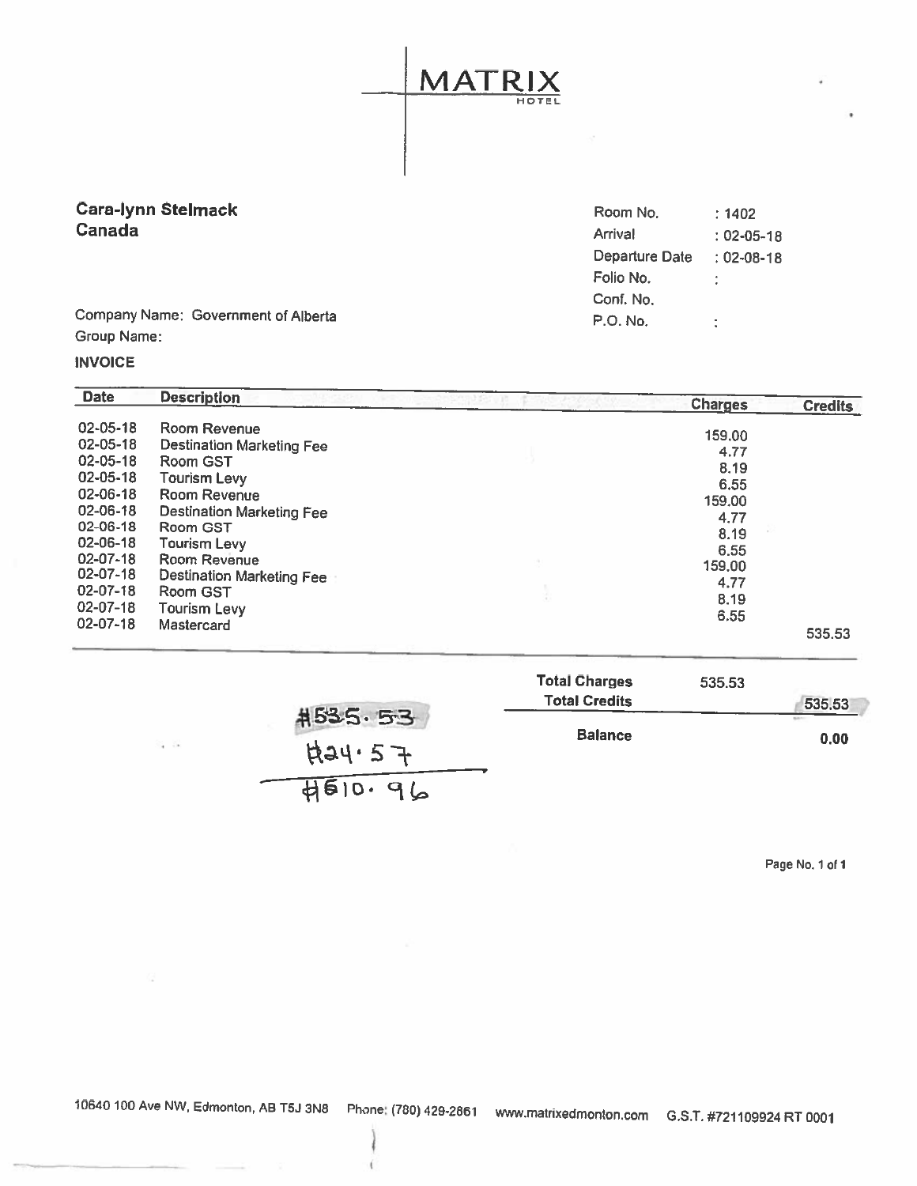# MATRIX HOTEL

# Cara-Iynn Stelmack

| Cara-Iynn Stelmack                  | Room No.       | : 1402           |
|-------------------------------------|----------------|------------------|
| Canada                              | Arrival        | $: 02 - 05 - 18$ |
|                                     | Departure Date | $: 02 - 08 - 18$ |
|                                     | Folio No.      |                  |
|                                     | Conf. No.      |                  |
| Company Name: Government of Alberta | P.O. No.       | ۰.               |
|                                     |                |                  |

Company Name: Government of Alberta Group Name:

## INVOICE

| <b>Date</b>                                                                                        | <b>Description</b>                                                                                                                           | <b>Charges</b>                                         | <b>Credits</b> |
|----------------------------------------------------------------------------------------------------|----------------------------------------------------------------------------------------------------------------------------------------------|--------------------------------------------------------|----------------|
| 02-05-18<br>$02 - 05 - 18$<br>$02 - 05 - 18$<br>02-05-18<br>$02 - 06 - 18$                         | Room Revenue<br><b>Destination Marketing Fee</b><br>Room GST<br><b>Tourism Levy</b><br>Room Revenue                                          | 159.00<br>4.77<br>8.19<br>6.55<br>159.00               |                |
| 02-06-18<br>$02 - 06 - 18$<br>02-06-18<br>02-07-18<br>02-07-18<br>$02 - 07 - 18$<br>$02 - 07 - 18$ | Destination Marketing Fee<br>Room GST<br><b>Tourism Levy</b><br>Room Revenue<br>Destination Marketing Fee<br>Room GST<br><b>Tourism Levy</b> | 4.77<br>8.19<br>6.55<br>159.00<br>4.77<br>8.19<br>6.55 |                |
| $02 - 07 - 18$                                                                                     | Mastercard                                                                                                                                   |                                                        | 535.53         |

|         | <b>Total Charges</b> | 535.53 |
|---------|----------------------|--------|
|         | <b>Total Credits</b> | 535,53 |
| #535.53 | <b>Balance</b>       | 0,00   |
| F34.57  |                      |        |
| 4510.96 |                      |        |

Page No. 1 of <sup>I</sup>

 $\sim$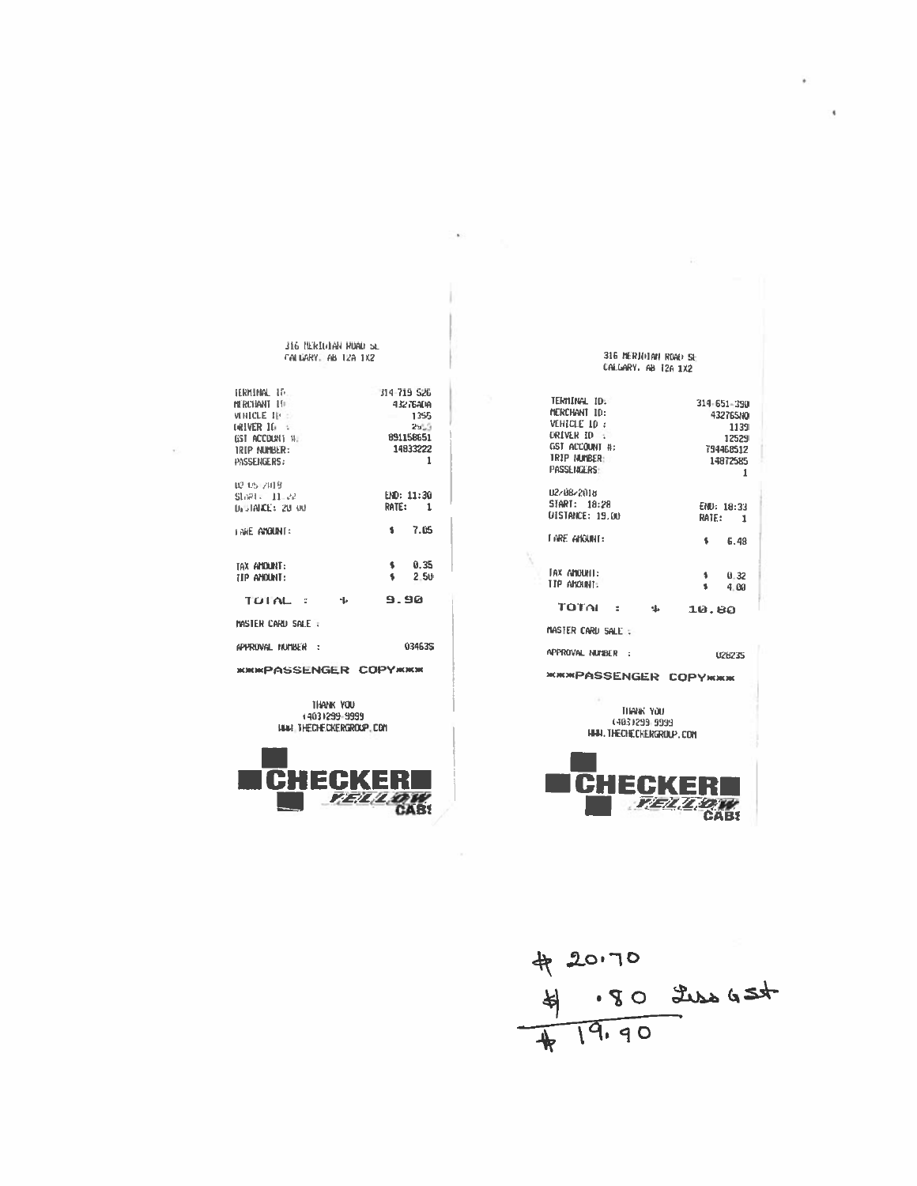$420.70$ <br> $4.80$  the GSt



THANK YOU +4031299-9999 HAN THEOHECKERGROUP.COM

**KIKIKPASSENGER COPYKIKIK** 

02-05-2019<br>Start: - 11-22<br>Distance: 20-00 END: 11:30 RATE:  $\overline{\mathbf{1}}$ **FARE ANOUNT:** 7.05  $\pmb{\mathsf{s}}$ tax anount:  $\pmb{\ast}$  $0.35$ TIP ANOUNT:  $\pmb{\ast}$  $2 - 50$ TOTAL :  $\Phi$ 9.90 MASTER CARD SALE : APPROVAL NUMBER : 034635

TERMINAL IT. 314-719 526 **MRCHANT TE**  $43276$ AM **VEHICLE 11-1** 1355 **GRIVER 10 3**  $25.5$ 891158651 GST ACCOUNT 11: IRIP NUMBER: 14833222 PASSENGERS:  $\mathbf{1}$ 

316 NERIOLAN RUAD SE FALUARY, AB 12A 1X2

٠

END: 18:33 **DISTANCE: 19.00** RATE: 1 **TARE AHOUNT:**  $\pmb{\mathfrak{g}}$  $6.48$ TAX ANOUNT:  $0.32$  $\Delta$ TIP ANOUNI:  $\bullet$ 4.00 TOTAL : \$ 10.80 master card sale : Approval number : 028235 **ЖЖЖРАSSENGER СОРУЖЖЖ** THANK YOU (403) 299-9999 HAN. THECHECKERGROUP. COM EGI К **TELLOW CAB!** 

TERMINAL IDE  $314 - 651 - 390$ MERCHANT ID: 432765NO VEHICLE 10 : 1139 DRIVER ID 12529 GST ACCOUNT #: 794468512 TRIP NUMBER: 14872585 PASSENGERS:  $\mathbf{1}$ 02/08/2018<br>START: 18:28

316 NERJOIAN ROAD SE CALGARY, AB T2A 1X2

x